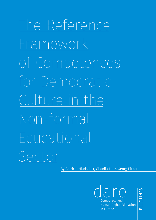# The Reference Framework of Competences for Democratic Culture in the Non-formal Educational Sector

By Patricia Hladschik, Claudia Lenz, Georg Pirker

dare Democracy and Human Rights Education in Europe

BLUE LINES

**BLUE LINES**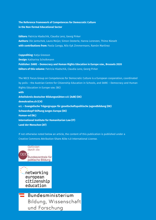**The Reference Framework of Competences for Democratic Culture in the Non-formal Educational Sector**

**Editors:** Patricia Hladschik, Claudia Lenz, Georg Pirker **Authors:** Ole Jantschek, Laura Meijer, Simon Oesterle, Hanna Lorenzen, Thimo Nieselt **with contributions from:** Paola Carega, Nils-Eyk Zimmermann, Ramón Martínez

**Copyediting:** Katja Greeson **Design:** Katharina Scholkmann **Publisher: DARE – Democracy and Human Rights Education in Europe vzw., Brussels 2020 Editors of this volume:** Patricia Hladschik, Claudia Lenz, Georg Pirker

The NECE Focus Group on Competences for Democratic Culture is a European cooperation, coordinated by polis – the Austrian Centre for Citizenship Education in Schools, and DARE – Democracy and Human Rights Education in Europe vzw. (BE) **with Arbeitskreis deutscher Bildungsstätten e.V. (AdB) (DE) demokrative.ch (CH) e.t. – Evangelische Trägergruppe für gesellschaftspolitische Jugendbildung (DE) Schwarzkopf-Stiftung Junges Europa (DE) Human-ed (NL) International Institute for Humanitarian Law (IT) Land der Menschen (AT)**

If not otherwise noted below an article, the content of this publication is published under a Creative Commons Attribution-Share Alike 4.0 International License.



Bildung, Wissenschaft und Forschung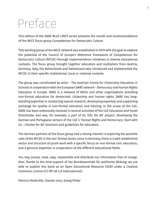## Preface

This edition of the DARE BLUE LINES series presents the results and recommendations of the NECE focus group Competences for Democratic Culture.

This working group of the NECE network was established in 2019 with the goal to explore the potential of the Council of Europe's Reference Framework of Competences for Democratic Culture (RFCDC) through implementation initiatives in diverse educational contexts. The focus group brought together educators and multipliers from Austria, Germany, Italy, the Netherlands and Switzerland who introduced and implemented the RFCDC in their specific institutional, local or national contexts.

The group was coordinated by polis – The Austrian Centre for Citizenship Education in Schools in cooperation with the European DARE network - Democracy and Human Rights Education in Europe. DARE is a network of NGOs and other organisations providing non-formal education for democratic citizenship and human rights. DARE has longstanding expertise in conducting topical research, developing expertise and supporting exchange for quality in non-formal education and training. In the scope of the CoE, DARE has been extensively involved in several activities of the CoE Education and Youth Directorate, and was, for example, a part of its 'EDC for All' project, developing the German and Portuguese version of the CoE´s 'Human Rights and Democracy: Start with Us - Charter for All' brochure and guidelines for educators.

The German partners of the focus group had a strong interest in exploring the possible uses of the RFCDC in the non-formal sector, since in Germany, there is a well-established sector and structure of youth work with a specific focus on non-formal civic education, and a genuine expertise in cooperation of the different educational fields.

You may access, read, copy, reassemble and distribute our information free of charge. Also, thanks to the kind support of the Bundeszentrale für politische Bildung, we are able to publish this book as an Open Educational Resource (OER) under a Creative Commons License (CC-BY-SA 4.0 International).

Patricia Hladschik, Claudia Lenz, Georg Pirker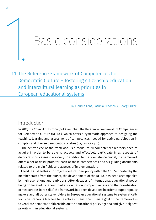## Basic considerations

## <u>1.1. The Reference Framework of Competences for</u> Democratic Culture – fostering citizenship education and intercultural learning as priorities in European educational systems

By Claudia Lenz, Patricia Hladschik, Georg Pirker

## Introduction

In 2017, the Council of Europe (CoE) launched the Reference Framework of Competences for Democratic Culture (RFCDC), which offers a systematic approach to designing the teaching, learning and assessment of competences needed for active participation in complex and diverse democratic societies (CoE, 2017, Vol. 1, p. 11).

 The centrepiece of the framework is a model of 20 competences learners need to acquire in order to be able to actively and effectively participate in all aspects of democratic processes in a society. In addition to the competence model, the framework offers a set of descriptors for each of these competences and six guiding documents related to the main fields and aspects of implementation.

 The RFCDC is the flagship project of educational policy within the CoE. Supported by the member states from the outset, the development of the RFCDC has been accompanied by high aspirations and ambitions. After decades of international educational policy being dominated by labour market orientation, competitiveness and the prioritisation of measurable 'hard skills', the framework has been developed in order to support policy makers and all other stakeholders in European educational systems to systematically focus on preparing learners to be active citizens. The ultimate goal of the framework is to ventilate democratic citizenship on the educational policy agenda and give it highest priority within educational systems.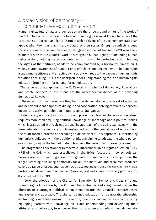## A broad vision of democracy – a comprehensive educational vision

Human rights, rule of law and democracy are the three ground pillars of the work of the CoE. The Council's work in the field of human rights is most known because of the European Court of Human Rights (ECHR) to which citizens of the CoE member states can appeal when their basic rights are violated by their states. Emerging conflicts around this issue resulted in an unprecedented struggle over the CoE budget in 2019. Also, there is another side to the Council's work to strengthen human rights; a functioning human rights system, holding states accountable with regard to protecting and upholding the rights of their citizens, needs to be complemented by a horizontal dimension. A widely shared awareness of human rights principles and engagement in human rights issues among citizens and an active civil society will reduce the danger of human rights violations occurring. This is the background for a long-standing focus on human rights education (HRE) in non-formal and formal education.

 The same rationale applies to the CoE's work in the field of democracy. Rule of law and stable democratic institutions are the necessary backbones of a functioning democracy; however:

 These will not function unless they build on democratic culture: a set of attitudes and behaviours that emphasize dialogue and cooperation, solving conflicts by peaceful means, and active participation in public space. (Bergan, 2014)

 A democracy is more than institutions and procedures; learning to be an active citizen requires more than acquiring political knowledge or knowledge about political issues, which is associated with civic education. The approach of the CoE is expressed with the term, education for democratic citizenship, indicating the crucial role of education in the multi-faceted process of becoming an active citizen. This approach is informed by humanistic philosophy in the tradition of Bildung aiming to educate the whole person (CoE, 2017, Vol. 1, p. 15). In the field of lifelong learning, the term holistic learning is used.

 The programme Education for Democratic Citizenship/Human Rights Education (EDC/ HRE) of the CoE, which was established in the 1990s, focused on how schools can become arenas for learning about, through and for democratic citizenship. Under the slogan 'learning and living democracy for all' the materials and resources produced covered a range of issues, such as democratic school governance (Bäckmann and Trafford, 2007), professional development of teachers (Brett et al., 2009) and school-university partnerships (Hartley and Huddleston, 2010).

 In 2010, the adoption of the Charter for Education for Democratic Citizenship and Human Rights Education by the CoE member states marked a significant step in the direction of a stronger political commitment towards the Council's comprehensive and systematic approach. The charter defines education for democratic citizenship as training, awareness raising, information, practices and activities which aim, by equipping learners with knowledge, skills and understanding and developing their attitudes and behaviour, to empower them to exercise and defend their democratic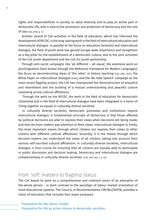rights and responsibilities in society, to value diversity and to play an active part in democratic life, with a view to the promotion and protection of democracy and the rule of law (CoE, 2010, p. 7).

**4**

 Another strand of CoE activities in the field of education, which has informed the development of RFCDC, is the long-lasting work in the field of intercultural education and intercultural dialogue. In parallel to the focus on education (schools) and intercultural dialogue, the field of youth work has gained Europe-wide importance and recognition as a key pillar for the establishment of a democratic culture, due to the joint activities of the CoE youth department and the CoE-EU youth partnership.

 Through anti-racist campaigns like 'all different – all equal', the extensive work on plurilingualism (best known through the Reference Framework for Modern Languages), the focus on deconstructing ideas of 'the other' in history teaching (CoE, 2001, 2011), the White Paper on Intercultural Dialogue (2008), and the 'No Hate Speech' campaign as the most recent flagship project, the CoE has championed the deconstruction of prejudice and resentment and the building of a mutual understanding and peaceful culture coexisting across cultural affiliations.

 Through the work on the RFCDC, the work in the field of education for democratic citizenship and in the field of intercultural dialogue have been integrated in a vision of 'living together as equals in culturally diverse societies'.

 In culturally diverse societies, democratic processes and institutions require intercultural dialogue. A fundamental principle of democracy is that those affected by political decisions are able to express their views when decisions are being made, and that decision-makers pay attention to their views. Intercultural dialogue is, firstly, the most important means through which citizens can express their views to other citizens with different cultural affiliations. Secondly, it is the means through which decision-makers can understand the views of all citizens, taking into account their various self-ascribed cultural affiliations. In culturally diverse societies, intercultural dialogue is thus crucial for ensuring that all citizens are equally able to participate in public discussion and decision making. Democracy and intercultural dialogue are complementary in culturally diverse societies. (CoE, 2017, Vol. 1, p. 24).

## From 'soft' matters to flagship status

The CoE based its work on a comprehensive and coherent vision of an education of the whole person - in stark contrast to the paradigm of labour market orientation of most educational systems. The Council, in Recommendation CM/Rec(2007)6, provides a vision of education that includes four major purposes: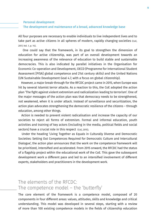#### Personal development

#### The development and maintenance of a broad, advanced knowledge base

All four purposes are necessary to enable individuals to live independent lives and to take part as active citizens in all spheres of modern, rapidly changing societies (CoE, 2017, Vol. 1, p. 14).

 One could say that the framework, in its goal to strengthen the dimension of education for active citizenship, was part of an overall development towards an increasing awareness of the relevance of education to build stable and sustainable democracies. This is also indicated by parallel initiatives in the Organisation for Economic Co-operation and Development, OECD (Programme for International Student Assessment [PISA] global competence and 21st century skills) and the United Nations (UN Sustainable Development Goal 4.7, with a focus on global citizenship).

 However, a major break-through for the RFCDC project came in 2015, when Europe was hit by several Islamist terror attacks. As a reaction to this, the CoE adopted the action plan 'The fight against violent extremism and radicalization leading to terrorism'. One of the major messages of the action plan was that democracy needs to be strengthened, not weakened, when it is under attack. Instead of surveillance and securitization, the action plan advocates strengthening the democratic resilience of the citizens – through education, among other things.

 Action is needed to prevent violent radicalisation and increase the capacity of our societies to reject all forms of extremism. Formal and informal education, youth activities and training of key actors (including in the media, political fields and social sectors) have a crucial role in this respect (CoE, 2015).

 Under the heading 'Living Together as Equals in Culturally Diverse and Democratic Societies: Setting Out Competences Required for Democratic Culture and Intercultural Dialogue', the action plan announces that the work on the competence framework will be prioritized, intensified and accelerated. From 2015 onward, the RFCDC had the status of a flagship project within the educational work of the CoE. This gave the subsequent development work a different pace and led to an intensified involvement of different experts, stakeholders and practitioners in the development work.

## The elements of the RFCDC: The competence model – the 'butterfly'

The core element of the framework is a competence model, composed of 20 components in four different areas: values, attitudes, skills and knowledge and critical understanding. This model was developed in several steps, starting with a review of more than 100 existing competence models in the fields of citizenship education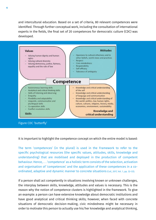and intercultural education. Based on a set of criteria, 80 relevant competences were identified. Through further conceptual work, including the consultation of international experts in the fields, the final set of 20 competences for democratic culture (CDC) was developed.



It is important to highlight the competence concept on which the entire model is based:

The term 'competences' (in the plural) is used in the Framework to refer to the specific psychological resources (the specific values, attitudes, skills, knowledge and understanding) that are mobilised and deployed in the production of competent behaviour. Hence, . . . 'competence' as a holistic term consists of the selection, activation and organisation of 'competences' and the application of these competences in a coordinated, adaptive and dynamic manner to concrete situations (CoE, 2017, Vol. 1, pp. 32–33).

If a person shall act competently in situations involving known or unknown challenges, the interplay between skills, knowledge, attitudes and values is necessary. This is the reason why the notion of competence clusters is highlighted in the framework. To give an example: a person can have extensive knowledge about democratic institutions and have good analytical and critical thinking skills; however, when faced with concrete situations of democratic decision-making, civic mindedness might be necessary in order to motivate this person to actually use his/her knowledge and analytical thinking,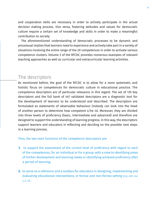and cooperation skills are necessary in order to actively participate in the actual decision making process. Vice versa, fostering attitudes and values for democratic culture require a certain set of knowledge and skills in order to make a meaningful contribution to society.

 The aforementioned understanding of democratic processes to be dynamic and processual implies that learners need to experience and actively take part in a variety of situations involving the entire range of the 20 competences in order to activate various competence clusters. Volume 3 of the RFCDC provides numerous examples of relevant teaching approaches as well as curricular and extracurricular learning activities.

### The descriptors

As mentioned before, the goal of the RFCDC is to allow for a more systematic and holistic focus on competences for democratic culture in educational practice. The competence descriptors are of particular relevance in this regard. The set of 135 key descriptors and the full bank of 447 validated descriptors are a diagnostic tool for the development of learners to be understood and described. The descriptors are formulated as statements of observable behaviour (nobody can look into the head of another person to determine how competent s/he is). Moreover, they are divided into three levels of proficiency (basic, intermediate and advanced) and therefore are designed to support the understanding of learning progress. In this way, the descriptors support learners and educators in reflecting and deciding on the possible next steps in a learning process.

Thus, the two main functions of the competence descriptors are:

- **1.** to support the assessment of the current level of proficiency with regard to each of the competences, for an individual or for a group, with a view to identifying areas of further development and learning needs or identifying achieved proficiency after a period of learning;
- to serve as a reference and a toolbox for educators in designing, implementing and **2.**evaluating educational interventions, in formal and non-formal setting (COE, 2017, Vol. 2, p. 12).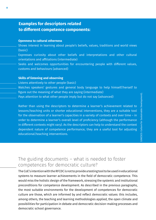## **Examples for descriptors related to different competence components:**

#### **Openness to cultural otherness**

- Shows interest in learning about people's beliefs, values, traditions and world views (basic)
- Expresses curiosity about other beliefs and interpretations and other cultural orientations and affiliations (intermediate)
- Seeks and welcomes opportunities for encountering people with different values, customs and behaviours (advanced)

#### **Skills of listening and observing**

- Listens attentively to other people (basic)
- Watches speakers' gestures and general body language to help himself/herself to figure out the meaning of what they are saying (intermediate)
- Pays attention to what other people imply but do not say (advanced)

Rather than using the descriptors to determine a learner's achievement related to lessons/teaching units or shorter educational interventions, they are a suitable tool for the observation of a learner's capacities in a variety of contexts and over time – in order to determine a learner's overall level of proficiency (although the performance in different contexts might vary). As the descriptors can help to understand the context dependent nature of competence performance, they are a useful tool for adjusting educational/teaching interventions.

## The guiding documents – what is needed to foster competences for democratic culture?

The CoE's intention with the RFCDC is not to provide a testing tool to be used in educational systems to measure learner achievements in the field of democratic competence. This would miss the holistic design of the framework, stressing the systemic and institutional preconditions for competence development. As described in the previous paragraphs, the most suitable environments for the development of competences for democratic culture are those, which are informed by and reflect democratic values: this includes, among others, the teaching and learning methodologies applied, the open climate and possibilities for participation in debate and democratic decision-making processes and democratic school governance.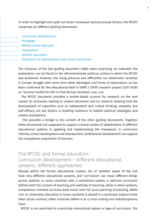In order to highlight and spell out these contextual and processual factors, the RFCDC comprises six different guiding documents:

 Curriculum development Pedagogy Whole school approach Assessment Teacher education Prevention of radicalization and violent extremism

The inclusion of the last guiding document might seem surprising. As indicated, the explanation can be found in the aforementioned political context in which the RFCDC was produced. However, the rising pressure and difficulties our democratic societies in Europe struggle with come from other ideologies and forms of nationalism, as has been confirmed for the educational field in DARE´s STEPS research project (2017-2018) on 'Survival Toolkit for EDC in Post-factual Societies' (DARE, 2018).

 The RFCDC document provides a review-based account for research on the root causes for processes leading to violent extremism and on research showing that the development of capacities such as independent and critical thinking, empathy and self-efficacy are key factors in building resilience to hateful political ideologies and violent orientations.

 This provides a bridge to the content of the other guiding documents. Together, these documents are supposed to support a broad variety of stakeholders in different educational systems in applying and implementing the framework: in curriculum reforms, school development and how teachers' professional development can support the competence acquisition of learners.

## The RFCDC and formal education: Curriculum development – different educational systems, different approaches

Already within the formal educational context, the 47 member states of the CoE have very different educational systems, and 'curriculum' can mean different things across systems. In some countries with a centralised system, a national curriculum defines both the content of teaching and methods of teaching, while in other systems, competence-oriented curricula leave much room for local planning of teaching. While civic or citizenship education in some countries is placed in a particular subject (most often social science), other countries define it as a cross-cutting and interdisciplinary issue.

RFCDC is not restricted to a particular educational system or type of curriculum. The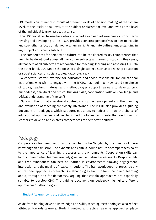CDC model can influence curricula at different levels of decision-making: at the system level, at the institutional level, at the subject or classroom level and even at the level of the individual learner. (CoE, 2017, Vol. 3, p.13)

 The CDC model can be used as a whole or in part as a means of enriching a curriculum by revising and developing it. The RFCDC provides concrete perspectives on how to include and strengthen a focus on democracy, human rights and intercultural understanding in any subject and across subjects.

 The competences for democratic culture can be considered as key competences that need to be developed across all curriculum subjects and areas of study. In this sense, all teachers of all subjects are responsible for teaching, learning and assessing CDC. On the other hand, CDC can be the focus of a single subject, such as citizenship education or social sciences or social studies. (CoE, 2017, Vol. 3, p.19)

 A concrete 'starter' exercise for educators and those responsible for educational institutions who wish to engage with the RFCDC may look like: How could the choice of topics, teaching material and methodologies support learners to develop civic mindedness, analytical and critical thinking skills, cooperation skills or knowledge and critical understanding of the self?

 Surely in the formal educational context, curriculum development and the planning and evaluation of teaching are closely intertwined. The RFCDC also provides a guiding document on pedagogy, which supports educators to reflect on how the choice of educational approaches and teaching methodologies can create the conditions for learners to develop and express competences for democratic culture.

## Pedagogy

Competences for democratic culture can hardly be 'taught' by the means of mere knowledge transmission. The dynamic and context-bound nature of competences point to the importance of learning processes and environments. Cooperation skills can hardly flourish when learners are only given individualised assignments. Responsibility and civic mindedness can best be learned in environments allowing engagement, interaction and the making of real contributions. The framework does not prescribe any educational approaches or teaching methodologies, but it follows the idea of learning about, through and for democracy, arguing that certain approaches are especially suitable to develop CDC. The guiding document on pedagogy highlights different approaches/methodologies:

#### Student/learner centred, active learning

Aside from helping develop knowledge and skills, teaching methodologies also reflect attitudes towards learners. Student centred and active learning approaches place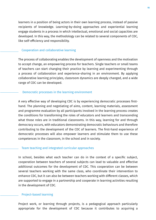learners in a position of being actors in their own learning process, instead of passive recipients of knowledge. Learning-by-doing approaches and experiential learning engage students in a process in which intellectual, emotional and social capacities are developed. In this way, the methodology can be related to several components of CDC, like self-efficiency and responsibility.

#### Cooperation and collaborative learning

of teachers can start changing their practice by learning and experimenting through The process of collaborating enables the development of openness and the motivation to accept change, an empowering process for teachers. Single teachers or small teams a process of collaboration and experience-sharing in an environment. By applying collaborative learning principles, classroom dynamics are deeply changed, and a wide range of CDC can be developed.

#### Democratic processes in the learning environment

A very effective way of developing CDC is by experiencing democratic processes firsthand. The planning and negotiating of aims, content, learning materials, assessment and programme evaluation by all participants involved in the learning process creates the conditions for transforming the roles of educators and learners and transcending what those roles are in traditional classrooms. In this way, learning for and through democracy occurs, with educators demonstrating democratic behaviours and therefore contributing to the development of the CDC of learners. The first-hand experience of democratic processes will also empower learners and stimulate them to use these competences in the classroom, in the school and in society.

#### Team teaching and integrated curricular approaches

In school, besides what each teacher can do in the context of a specific subject, cooperation between teachers of several subjects can lead to valuable and effective additional outcomes for the development of CDC. This cooperation can be between several teachers working with the same class, who coordinate their intervention to enhance CDC, but it can also be between teachers working with different classes, which are supported to engage in a partnership and cooperate in learning activities resulting in the development of CDC.

#### Project-based learning

Project work, or learning through projects, is a pedagogical approach particularly appropriate for the development of CDC because it contributes to acquiring a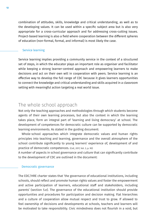combination of attitudes, skills, knowledge and critical understanding, as well as to the developing values. It can be used within a specific subject area but is also very appropriate for a cross-curricular approach and for addressing cross-cutting issues. Project-based learning is also a field where cooperation between the different spheres of education (non-formal, formal, and informal) is most likely the case.

#### Service learning

Service learning implies providing a community service in the context of a structured set of steps, in which the educator plays an important role as organiser and facilitator while keeping a strong learner-centred approach and empowering learners to make decisions and act on their own will in cooperation with peers. Service learning is an effective way to develop the full range of CDC because it gives learners opportunities to connect the knowledge and critical understanding and skills acquired in a classroom setting with meaningful action targeting a real world issue.

## The whole school approach

Not only the teaching approaches and methodologies through which students become agents of their own learning processes, but also the context in which the learning takes place, form an integral part of 'learning and living democracy' at school. The development of competences for democratic culture can be supported by democratic learning environments. As stated in the guiding document:

 Whole-school approaches which integrate democratic values and human rights principles into teaching and learning, governance and the overall atmosphere of the school contribute significantly to young learners' experience of, development of and practice of democratic competences. (CoE, 2017, Vol. 3, p. 90)

A number of aspects in school governance and culture that can significantly contribute to the development of CDC are outlined in the document:

#### Democratic governance

The EDC/HRE charter states that 'the governance of educational institutions, including schools, should reflect and promote human rights values and foster the empowerment and active participation of learners, educational staff and stakeholders, including parents' (section 5.e). The governance of the educational institution should provide opportunities and procedures for participation and decision making. Flat hierarchies and a culture of cooperation allow mutual respect and trust to grow. If allowed to feel ownership of decisions and developments at schools, teachers and learners will be motivated to take responsibility. Civic mindedness does not flourish in a void, but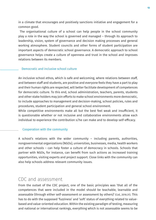in a climate that encourages and positively sanctions initiative and engagement for a common good.

 The organisational culture of a school can help people in the school community play a role in the way the school is governed and managed – through its approach to leadership, vision, system of governance and decision making processes and general working atmosphere. Student councils and other forms of student participation are important aspects of democratic school governance. A democratic approach to school governance helps create a culture of openness and trust in the school and improves relations between its members.

#### Democratic and inclusive school culture

An inclusive school ethos, which is safe and welcoming, where relations between staff, and between staff and students, are positive and everyone feels they have a part to play and their human rights are respected, will better facilitate development of competences for democratic culture. To this end, school administration, teachers, parents, students and other stake holders may join efforts to make school environments more democratic, to include approaches to management and decision-making, school policies, rules and procedures, student participation and general school environment.

While competitive environments make all but the best feel weak and insufficient, it is questionable whether or not inclusive and collaborative environments allow each individual to experience the contribution s/he can make and to develop self-efficacy.

#### Cooperation with the community

A school's relations with the wider community – including parents, authorities, nongovernmental organizations (NGOs), universities, businesses, media, health workers and other schools – can help foster a culture of democracy in schools. Schools that partner with NGOs, for instance, can benefit from such actions as increased training opportunities, visiting experts and project support. Close links with the community can also help schools address relevant community issues.

## CDC and assessment

From the outset of the CDC project, one of the basic principles was 'that all of the competences that were included in the model should be teachable, learnable and assessable (through either self-assessment or assessment by others)' (CoE, 2016:31). This has to do with the supposed 'fuzziness' and 'soft' status of everything related to valuebased and value-oriented education. Within the existing paradigm of testing, measuring and national or international rankings, everything which is not assessable seems to be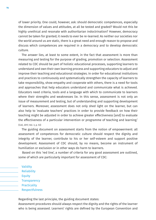of lower priority. One could, however, ask: should democratic competences, especially the dimension of values and attitudes, at all be tested and graded? Would not this be highly unethical and resonate with authoritarian indoctrination? However, democracy cannot be taken for granted; it needs to ever be re-learned. As neither our societies nor the world around us are static, there is a great need and enough reason to propose and discuss which competences are required in a democracy and to develop democratic culture.

 The answer lies, at least to some extent, in the fact that assessment is more than measuring and testing for the purpose of grading, promotion or selection. Assessment related to CDC should be part of holistic educational processes, supporting learners to understand and own their own learning process and supporting educators to adjust and improve their teaching and educational strategies. In order for educational institutions and practices to continuously and systematically strengthen the capacity of learners to take responsibility, show empathy and cooperate with others, there is a need for tools and approaches that help educators understand and communicate what is achieved. Educators need criteria, tools and a language with which to communicate to learners where their strengths and weaknesses lie. In this sense, assessment is not only an issue of measurement and testing, but of understanding and supporting development of learners. Moreover, assessment does not only shed light on the learner, but can also help to 'evaluate teachers' practices in order to provide feedback on how their teaching might be adjusted in order to achieve greater effectiveness [and] to evaluate the effectiveness of a particular intervention or programme of teaching and learning.' (CoE, 2017, Vol. 3, p. 53)

 The guiding document on assessment starts from the notion of empowerment: all assessment of competences for democratic culture should respect the dignity and integrity of the learner, contribute to his or her self-esteem and support positive development. Assessment of CDC should, by no means, become an instrument of humiliation or exclusion or in other ways do harm to learners.

 Based on this 'red line', a number of criteria for any good assessment are outlined, some of which are particularly important for assessment of CDC:

**Validity Reliability**  Equity **Transparency Practicality** Respectfulness

Regarding the last principle, the guiding document states:

Assessment procedures should always respect the dignity and the rights of the learner who is being assessed. Learners' rights are defined by the European Convention and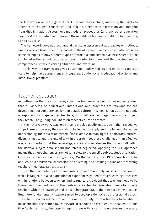the Convention on the Rights of the Child and they include, inter alia, the rights to freedom of thought, conscience and religion, freedom of expression and freedom from discrimination. Assessment methods or procedures (and any other education practices) that violate one or more of these rights of learners should not be used. (COE, 2017, Vol. 3, pp. 56–57)

 The framework does not recommend particular assessment approaches or methods, but discusses a broad spectrum, based on the aforementioned criteria. It also provides some examples of how different types of formative and summative assessment can be combined within an educational process in order to understand the development of competence clusters in varying situations and over time.

 In this way, the framework gives educational policy makers and educators tools at hand to help make assessment an integral part of democratic educational systems and institutional practices.

## Teacher education

As outlined in the previous paragraphs, the framework is built on an understanding that all aspects of educational institutions and practices are relevant for the development of competences for democratic culture. This means that CDC are not only a responsibility of specialized teachers, but of all teachers, regardless of the subject they teach. The guiding document on teacher education states:

 In their everyday work, teachers strive to provide quality education in their respective subject areas; however, they are also challenged to apply and implement the values underpinning the education system (for example human rights, democracy, cultural diversity, justice and the rule of law). In order to meet these challenges in an effective way, it is important that the knowledge, skills and competences that do not fall within the narrow subject area should not remain neglected. Applying the CDC approach means that these challenges are not left solely to the specific subject study orientation (such as civic education, history, ethics). On the contrary, the CDC approach must be applied as a transversal dimension of educating and training future and practicing teachers in general. (CoE, 2017, Vol. 3, p.76)

 Given that competences for democratic culture are not only an issue of the content which is taught, but also a question of experiences gained through learning processes within relations between teachers and learners, it is evident that teachers need to be trained and qualified beyond their subject area. Teacher education needs to provide teachers with the knowledge and tools to integrate CDC in their own teaching practice. But, more fundamentally, teachers need to develop a democratic professional ethos: The role of teacher education institutions is not only to train teachers to be able to make effective use of the CDC Framework in schools and other educational institutions (the 'technical' side), but also to equip them with a set of competences necessary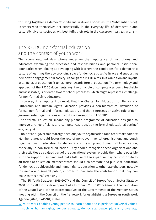for living together as democratic citizens in diverse societies (the 'substantial' side). Teachers who themselves act successfully in the everyday life of democratic and culturally diverse societies will best fulfil their role in the classroom. (CoE, 2017, Vol. 3, p.77)

## The RFCDC, non-formal education and the context of youth work

The above outlined descriptions underline the importance of institutions and educators examining the processes and responsibilities and personal/institutional boundaries when aiming at developing with learners the conditions for a democratic culture of learning, thereby providing space for democratic self-efficacy and supporting democratic engagement in society. Although the RFCDC aims, in its ambition and layout, at all fields of education, it tends more towards formal education. The terminology and approach of the RFCDC documents, e.g., the principle of competences being teachable and assessable, is oriented toward school processes, which might represent a challenge for non-formal civic educators.

 However, it is important to recall that the Charter for Education for Democratic Citizenship and Human Rights Education provides a non-hierarchical definition of formal, non-formal and informal education, and that it foresees an active role of nongovernmental organisations and youth organisations in EDC/HRE:

 'Non-formal education' means any planned programme of education designed to improve a range of skills and competences, outside the formal educational setting.' (COE, 2010, p. 8)

 'Role of non-governmental organisations, youth organisations and other stakeholders: Member states should foster the role of non-governmental organisations and youth organisations in education for democratic citizenship and human rights education, especially in non-formal education. They should recognise these organisations and their activities as a valued part of the educational system, provide them where possible with the support they need and make full use of the expertise they can contribute to all forms of education. Member states should also promote and publicise education for democratic citizenship and human rights education to other stakeholders, notably the media and general public, in order to maximise the contribution that they can make to this area.' (COE, 2010, p. 11)

 The EU Youth Strategy (2019-2027) and the Council of Europe Youth Sector Strategy 2030 both call for the development of a European Youth Work Agenda. The Resolution of the Council and of the Representatives of the Governments of the Member States meeting within the Council on the framework for establishing a European Youth Work Agenda (2020/C 415/01) states:

**4.** Youth work enables young people to learn about and experience universal values such as human rights, gender equality, democracy, peace, pluralism, diversity,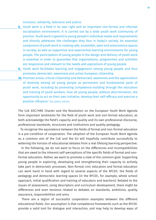inclusion, solidarity, tolerance and justice.

- **<u>5.</u>** Youth work is a field in its own right and an important non-formal and informal socialisation environment. It is carried out by a wide youth work community of practice. Youth work is geared to young people's individual needs and requirements and directly addresses the challenges they face in today's society. An essential component of youth work is creating safe, accessible, open and autonomous spaces in society, as well as supportive and experiential learning environments for young people. The participation of young people in the design and delivery of youth work is essential in order to guarantee that organisations, programmes and activities are responsive and relevant to the needs and aspirations of young people.
- **6.** Youth work facilitates learning and engagement among young people and thus promotes democratic awareness and active European citizenship.
- **34.** Promote active, critical citizenship and democratic awareness and the appreciation of diversity among all young people as permanent and fundamental parts of youth work, including by promoting competence-building through the education and training of youth workers. Give all young people, without discrimination, the opportunity to act on their own initiative, develop their self-efficacy and exercise a positive influence.' (EU, 2020/C 415/01)

The CoE EDC/HRE Charter and the Resolution on the European Youth Work Agenda form important landmarks for the field of youth work and non-formal education, as both acknowledge the field's capacity and quality and its own professional discourse, professional standards, structures and institutions and quality pedagogy.

 To recognise the equivalence between the fields of formal and non-formal education is a pre-condition of cooperation. The adoption of the European Youth Work Agenda as a common aim of the CoE and the EU will hopefully contribute successfully to widening the horizon of educational debates from a real lifelong learning perspective.

 In the following, we do not want to focus on the differences and incompatibilities that are owed to the inherent self-perceptions of the specific fields of formal and nonformal education. Rather, we want to promote a view of the common goal: Supporting young people in exploring, developing and strengthening their capacity to actively take part in democratic processes. Non-formal civic education and formal education can work hand in hand with regard to several aspects of the RFCDC: the fields of pedagogy and democratic learning spaces (in the RFCDC, for example, whole school approach, initial qualification and training of educators and teachers). Related to the issues of assessment, using descriptors and curriculum development, there might be differences and even tensions related to debates on standards, ambitions, quality assurance, responsibilities and aims.

 There are a legion of successful cooperation examples between the different educational fields. Our assumption is that competence frameworks such as the RFCDC provide a valid tool for dialogue and interaction, and may help to develop ways of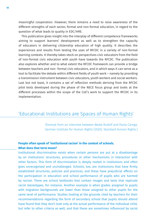meaningful cooperation. However, there remains a need to raise awareness of the different strengths of each sector, formal and non-formal education, in regard to the question of what leads to quality in EDC/HRE.

 This publication gives insight into the interplay of different competence frameworks aiming to support learners' development as well as to strengthen the capacity of educators in delivering citizenship education of high quality. It describes the experiences and results from testing the uses of RFCDC in a variety of non-formal learning contexts. It thereby takes stock on perspectives civic educators from the field of non-formal civic education with youth have towards the RFCDC. The publication also explores whether and to what extent the RFCDC framework can provide a bridge between teachers and non- formal civic educators, and in which ways it can serve as a tool to facilitate the debate within different fields of youth work – namely by providing a transmission instrument between civic educators, youth workers and social workers. Last but not least, it contains a set of reflection methods deriving from the RFCDC pilot tests developed during the phase of the NECE focus group and looks at the different processes within the scope of the CoE's work to support the RFCDC in its implementation.

## 'Educational Institutions are Spaces of Human Rights'

(Excerpt from an interview between Beate Rudolf and Paola Carega, German Institute for Human Rights (2020), Standard Human Rights.)

#### **People often speak of 'institutional racism' in the context of schools. What does that term mean?**

Institutional discrimination exists when certain persons are put at a disadvantage by an institutions' structures, procedures or other mechanisms in interaction with other factors. This form of discrimination is deeply rooted in institutions and often goes unrecognised and unchallenged. Schools, too, are institutions that have firmly established structures, policies and practices, and these have prejudicial effects on the participation in education and school performance of pupils who are harmed by racism. There are school textbooks that contain images and texts that replicate racist stereotypes, for instance. Another example is when grades assigned to pupils with migration backgrounds are lower than those assigned to other pupils for the same level of performance. Studies looking at the grounds cited by teachers for their recommendations regarding the form of secondary school that pupils should attend have found that they don't look only at the actual performance of the individual child, but refer to other criteria as well, and that these are sometimes influenced by racist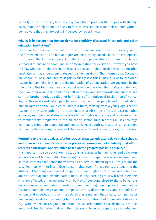stereotypes. For instance, teachers may have the impression that pupils with (family) backgrounds of migration are likely to receive less support from their parents, without being aware that they are being influenced by racist images.

#### **Why is it important that human rights be explicitly discussed in schools and other education institutions?**

There are two reasons. One has to do with individuals and one with society. As to the former, education and human rights are inextricably linked: Education is supposed to promote the full development of the human personality and human rights are supposed to ensure freedom and self-determination for everyone. However, you have to know what your rights are in order to exercise your rights. For this reason, education must also aim at strengthening respect for human rights. The International Covenant on Economic, Social and Cultural Rights explicitly says this in article 13. As for the other reason: human rights form part of the foundation of a democratic state governed by the rule of law. This foundation can only exist when people know their rights and demand them, on their own behalf and on behalf of others, and 'act towards one another in a spirit of brotherhood', as called for in Article 1 of the Universal Declaration of Human Rights. This works well when people learn to respect other people and to think about human rights and the values that underpin them, starting from a young age. For this reason, the UN Convention on the Elimination of All Forms of Racial Discrimination expressly requires that states provide for human rights education and other measures to combat racist prejudices, in the education sector. Thus, teachers must encourage learners to explore fundamental and human rights in depth, so that they can be guided by them in their actions, be aware of their own rights and respect the rights of others.

#### **Returning to the basic values of a democracy: what can educators do to make schools, and other educational institutions be places of learning and of solidarity that afford learners educational opportunities based on the greatest possible equality?**

It is important to see education institutions as places of human rights and educators as defenders of human rights. Human rights have to shape the learning environment, so that learners experience themselves as holders of human rights. If this is not the case, learners will not internalise human rights, even if these rights are taught in the abstract. A learning environment shaped by human rights is also one where learners are protected against discrimination, because any learning group will have members who are affected, either personally or by way of someone close to them, by various dimensions of discrimination. In order to meet their obligation to protect human rights, teachers must challenge actions or speech that is discriminatory and prohibit such actions and speech, and they must do this in a manner that clearly communicates human rights values. Dismantling barriers to participation and appreciating diversity, e.g., with respect to religious affiliation, sexual orientation or a disability, are also important. Teachers should design their classes to be as participatory as possible and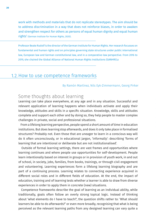work with methods and materials that do not replicate stereotypes. The aim should be to address discrimination in a way that does not reinforce biases, in order to awaken and strengthen respect for others as persons of equal human dignity and equal human rights' (German Institute for Human Rights, 2020).

Professor Beate Rudolf is the director of the German Institute for Human Rights. Her research focusses on fundamental and human rights and on principles governing state structures under public international law, European law and German constitutional law, and in a comparative-law perspective. From 2016 to 2019, she chaired the Global Alliance of National Human Rights Institutions (GANHRI).a

## <u>1.2. How to use competence frameworks</u>

#### By Ramón Martínez, Nils Eyk-Zimmermann, Georg Pirker

## Some thoughts about learning

Learning can take place everywhere, at any age and in any situation. Successful and relevant application of learning happens when individuals activate and apply their knowledge, attitudes and skills in a specific situation. Knowledge, skills and attitudes complete and support each other and by doing so, they help people to master complex challenges in private, social and professional situations.

 From a lifelong learning perspective, people spend a short amount of time in education institutions. But does learning stop afterwards, and does it only take place in formalised structures? Probably not. Even those that are uneager to learn in a conscious way will do it often unconsciously, or in educational jargon, 'informally': describing 'forms of learning that are intentional or deliberate but are not institutionalised'.

 Outside of formal learning settings, there are vast frames and opportunities where learning continues and where people use opportunities for self-development. People learn intentionally based on interest in groups or in provision of youth work, in and out of school, in society, jobs, families, from books, trainings, or through civil engagement and volunteering. Learning experiences form a lifelong learning biography and are part of a continuing process. Learning relates to connecting experience acquired in different social roles and in different fields of education. At the end, the impact of education, training and of learning tests whether a learner is able to draw from diverse experiences in order to apply them in concrete (new) situations.

 Competence frameworks describe the goal of learning as an individual ability, while traditionally, goals often follow an overly strong topical logic. Instead of thinking about 'what elements do I have to teach?', the question shifts rather to: 'What should learners be able to do afterwards?' or even more broadly, recognising that what is being perceived as the relevant learning paths from any designed learning can vary quite a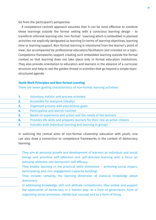bit from the participant's perspective.

 A competence-centred approach assumes that it can be most effective to combine these learnings outside the formal setting with a conscious learning design - to transform informal learning into 'non-formal': 'Learning which is embedded in planned activities not explicitly designated as learning (in terms of learning objectives, learning time or learning support. Non-formal learning is intentional from the learner's point of view', but accompanied by professional educators/facilitators and oriented on a topic. Competence frameworks support creating such embedded learning outside the formal context so that learning does not take place only in formal education institutions. They also provide orientation to educators and learners in the absence of a curricular structure and help to see the golden thread in activities that go beyond a simple topicstructured agenda.

#### **Youth Work Principles and Non-formal Learning**

There are seven guiding characteristics of non-formal learning activities:

| 1. | Voluntary, holistic and process-oriented                                     |
|----|------------------------------------------------------------------------------|
| 2. | Accessible for everyone (ideally)                                            |
| З. | Organised process with educational goals                                     |
| 4. | Participative and learner-centred                                            |
| 5. | Based on experience and action and the needs of the learners                 |
| 6. | Provides life skills and prepares learners for their role as active citizens |
|    | Includes both individual learning and learning in groups                     |
|    |                                                                              |

In outlining the central aims of non-formal citizenship education with youth, one can also draw a connection to competence frameworks in the context of democracy learning:

- They aim at personal growth and development of learners as individual and social beings and prioritise self-reflection and self-directed learning with a focus on personal attitudes and democratic self-efficacy.
- They enable learning in the practical skills dimension achieving social impact, participating and civic engagement (capacity building).
- They include, certainly, the learning dimension of classical knowledge about democracy.
- In addressing knowledge, skill and attitude competences, they evolve and support the application of democracy in a holistic way: as a form of governance, form of organising social processes, intellectual concept and as a form of living.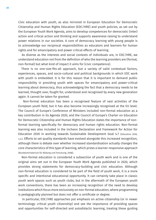Civic education with youth, as also mirrored in European Education for Democratic Citizenship and Human Rights Education (EDC/HRE) and youth policies, as set out by the European Youth Work Agenda, aims to develop competences for democratic (inter) action and critical action and thinking and supports awareness-raising to understand power relations in our societies. A core of democracy learning with young people is to acknowledge our reciprocal responsibilities as educators and learners for human rights and for emancipatory and power critical effects of learning.

 As diverse as the interests and social contexts of individuals are, in EDC/HRE, we understand education not from the definition of who the learning providers are (formal, non-formal) but what kind of impact it aims for (civic competence).

 There is no one-size-fits-all approach, but a variety of valid contextual factors, experiences, spaces, and socio-cultural and political backgrounds in which EDC work with youth is embedded. It is for this reason that it is important to demand public responsibility in providing youth with spaces for emancipatory and power-critical learning about democracy, thus acknowledging the fact that a democracy needs to be learned, thought over, fought for, understood and recognised by every new generation again. It cannot be taken for granted.

 Non-formal education has been a recognised feature of vast activities of the European youth field, but it has also become increasingly recognised at the EU level. The Council of Europe's Conference of Ministers included non-formal education as a key contribution in its Agenda 2020, and the Council of Europe's Charter on Education for Democratic Citizenship and Human Rights Education states the importance of nonformal learning specifically for democracy and human rights education. Non-formal learning was also included in the Incheon Declaration and Framework for Action for Education 2030 in working towards Sustainable Development Goal 4.7 (Education 2030, n.d.). Efforts to set quality standards have evolved alongside this increased recognition, although there is debate over whether increased standardisation actually changes the core characteristics of this type of learning, which prizes a learner-responsive approach (Bundesministerium für Bildung und Forschung, 2008).

 Non-formal education is considered a subsection of youth work and is one of the original aims set out in the European Youth Work Agenda published in 2020, which provides strong statements for democracy-building and civic education. Although non-formal education is considered to be part of the field of youth work, it is a more specific and intentional educational opportunity. It can certainly take place in classic youth work spaces such as youth clubs, but in the aftermath of the European youth work conventions, there has been an increasing recognition of the need to develop institutions which focus more exclusively on non-formal education, where programming is pedagogically planned but does not offer a certificate or degree.

 In particular, EDC/HRE approaches put emphasis on active citizenship (or in newer terminology: critical youth citizenship) and see the importance of providing spaces and opportunities for self-directed and autodidactic learning, treating these guiding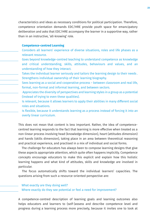characteristics and ideas as necessary conditions for political participation. Therefore, competence orientation demands EDC/HRE provide youth space for emancipatory deliberation and asks that EDC/HRE accompany the learner in a supportive way, rather than in an instructive, 'all-knowing' role.

#### **Competence-centred Learning**

- Considers all learners' experience of diverse situations, roles and life phases as a relevant resource.
- Goes beyond knowledge-centred teaching to understand competence as knowledge and critical understanding, skills, attitudes, behaviours and values, and an understanding of how they interact.
- Takes the individual learner seriously and tailors the learning design to their needs . Strengthens individual ownership of their learning biography.
- Sees learning as a social and cooperative process between classroom and real life, formal, non-formal and informal learning, and between sectors.
- Appreciates the diversity of perspectives and learning styles in a group as a potential (instead of trying to even these qualities).
- Is relevant, because it allows learners to apply their abilities in many different social roles and situations.
- Is flexible, because it understands learning as a process instead of forcing it into an overly linear curriculum.

This does not mean that content is less important. Rather, the idea of competencecentred learning responds to the fact that learning is more effective when treated as a non-linear process involving head (knowledge dimension), heart (attitudes dimension) and hands (skills dimension), taking place in an area between theoretical reasoning and practical experience, and practised in a mix of individual and social forms.

 The challenge for educators has always been to compose learning designs that give these aspects appropriate attention, which quite often happens implicitly. Competence concepts encourage educators to make this explicit and explain how this holistic learning happens and what kind of attitudes, skills and knowledge are involved in particular.

 The focus automatically shifts toward the individual learners' capacities. The questions arising from such a resource-oriented perspective are:

## What exactly are they doing well?

Where exactly do they see potential or feel a need for improvement?

A competence-centred description of learning goals and learning outcomes also helps educators and learners to (self-)assess and describe competence level and progress during a learning process more precisely, because it invites one to look at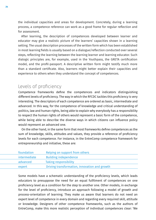the individual capacities and areas for development. Concretely, during a learning process, a competence reference can work as a good frame for regular reflection and for assessment.

 After learning, the description of competences developed between learner and educator may give a realistic picture of the learners' capacities shown in a learning setting. The usual description processes of the written form which has been established in most learning fields is usually based on a dialogue/reflection conducted over several steps, reflecting the learning between the learning learner and learning educator. Such dialogic principles are, for example, used in the Youthpass, the GRETA certification model, and the profil-passport. A descriptive written form might testify much more than a standard certificate. Also, learners might better explain their capacities and experience to others when they understand the concept of competences.

## Levels of proficiency

Competence frameworks define the competences and indicators distinguishing different levels of proficiency. The way in which the RFCDC tackles this proficiency is very interesting. The descriptors of each competence are ordered as basic, intermediate and advanced. In this way, for the competence of knowledge and critical understanding of politics, law and human rights, being able to explain why everybody has a responsibility to respect the human rights of others would represent a basic form of the competence, while being able to describe the diverse ways in which citizens can influence policy would represent an advanced one.

 On the other hand, in the same form that most frameworks define competences as the sum of knowledge, skills, attitudes and values, they provide a reference of proficiency levels for each competence. For instance, in the EntreComp competence framework for entrepreneurship and initiative, these are:

| foundation   | Relying on support from others                |
|--------------|-----------------------------------------------|
| intermediate | <b>Building independence</b>                  |
| advanced     | <b>Taking responsibility</b>                  |
| expert       | Driving transformation, innovation and growth |

Some models have a schematic understanding of the proficiency levels, which leads educators to presuppose the need for an equal fulfilment of competences on one proficiency level as a condition for the step to another one. Other models, in exchange for the level of proficiency, introduce an approach following a model of growth and process-orientation of learning. They make us aware that learners do not need an expert level of competence in every domain and regarding every required skill, attitude or knowledge. Designers of other competence frameworks, such as the authors of EntreComp, make this more realistic perception of individual competences clear: 'We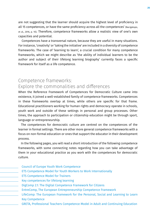are not suggesting that the learner should acquire the highest level of proficiency in all 15 competences, or have the same proficiency across all the competences' (Bacigalupo, et al., 2016, p. 10). Therefore, competence frameworks allow a realistic view of one's own capacities and potential.

 Competences have a transversal nature, because they are useful in many situations. For instance, 'creativity' or 'taking the initiative' are included in a diversity of competence frameworks. The case of 'learning to learn', a crucial condition for many competence frameworks, which we might describe as 'the ability of individual learners to be the author and subject of their lifelong learning biography' currently faces a specific framework for itself as a life competence.

## **Explore the commonalities and differences** Competence frameworks:

When the Reference Framework of Competences for Democratic Culture came into existence, it joined a well-established family of competence frameworks. Competences in these frameworks overlap at times, while others are specific for that frame. Educational practitioners working for human rights and democracy operate in schools, youth work and outside of these settings in personal and group processes. Other times, the approach to participation or citizenship education might be through sport, language or entrepreneurship.

 The competences for democratic culture are centred on the competences of the learner in formal settings. There are other more general competence frameworks with a focus on non-formal education or ones that support the educator in their development process.

 In the following pages, you will read a short introduction of the following competence frameworks, with some connecting notes regarding how you can take advantage of them in your educational practice as you work with the competences for democratic culture.

Council of Europe Youth Work Competence ETS Competence Model for Youth Workers to Work Internationally ETS Competence Model for Trainers Key competences for lifelong learning DigComp 2.1: The Digital Competence Framework for Citizens EntreComp, The European Entrepreneurship Competence Framework LifeComp: The European Framework for the Personal, Social and Learning to Learn Key Competence GRETA, Professional Teachers Competence Model in Adult and Continuing Education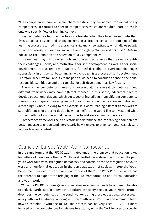When competences have universal characteristics, they are named transversal or key competences, in contrast to specific competences, which are required more or less in only one specific field or learning context.

 Key competences help people to easily transfer what they have learned into their lives as active citizens and changemakers. In a broader sense, the outcome of the learning process is turned into a practical skill and a new attitude, which allows people to act accordingly in complex social situations ([http://www.oecd.org/pisa/35070367. pdf OECD: The Definition and Selection of Key Competencies]).

 Lifelong learning outside of schools and universities requires that learners identify their challenges, needs, and motivations for self-development, as well as for social development. It also requires a capacity for self-discipline to overcome challenges successfully. In this sense, becoming an active citizen is a process of self-development. Therefore, when we talk about emancipation, we need to consider a sense of personal responsibility, initiative and the capacity for self-development as key factors.

 There is no competence framework covering all transversal competences, and different frameworks may have different focuses. In this sense, educators have to develop educational designs, which put together ingredients from different competence frameworks and specific learning goals of their organization or education institution into a meaningful whole. Sticking to the example, it is worth reading different frameworks to spot differences in order to decide how much effort one would like to invest and what kind of methodology one would use in order to address certain competences.

 Competence frameworks help educators understand the nature of a single competence better and also to understand more clearly how it relates to other competences relevant in their learning context.

## Council of Europe Youth Work Competence

In the same form that the RFCDC was initiated under the premise that education is key for culture of democracy, the CoE Youth Work Portfolio was developed to show the path youth work follows to strengthen democracy and contribute to the recognition of youth work and non-formal education in the democratisation of society. In 2019 the Youth Department decided to start a revision process of the Youth Work Portfolio, which has the potential to support the bridging of the CDC from formal to non-formal education and youth work.

 While the RFCDC contains generic competences a person needs to acquire to be able to actively participate in a democratic culture in society, the CoE Youth Work Portfolio describes the competences of the youth worker during those educational processes. As a youth worker already working with the Youth Work Portfolio and aiming to learn how to combine it with the RFCDC, the process can be very useful. RFCDC is more focused on the competences for citizens to acquire, while the YWP focuses on specific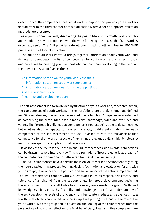descriptors of the competences needed at work. To support this process, youth workers should refer to the third chapter of this publication where a set of proposed reflection methods are presented.

 As a youth worker currently discovering the possibilities of the Youth Work Portfolio and wondering how to combine it with the work following the RFCDC, this framework is especially useful. The YWP provides a development path to follow in leading EDC/HRE processes out of formal education.

 The online Youth Work Portfolio brings together information about youth work and its role for democracy, the list of competences for youth work and a series of tools and processes for creating your own portfolio and continue developing in the field. All together, it consists of five sections:

- An information section on the youth work essentials
- An information section on youth work competence
- An information section on ideas for using the portfolio
- A self-assessment form
- A learning and development plan

The self-assessment is a form divided by functions of youth work and, for each function, the competences of youth workers. In the Portfolio, there are eight functions defined and 32 competences, of which each is related to one function. Competences are defined as comprising the three interlinked dimensions: knowledge, skills and attitudes and values. The Portfolio highlights that competence is not just being able to do something, but involves also the capacity to transfer this ability to different situations. For each competence of the self-assessment, the user is asked to rate the relevance of that competence for their work on a scale of  $1-5$  (1 = not relevant at all;  $5$  = highly relevant) and to share specific examples of that relevance.

 If we look at the Youth Work Portfolio and CDC competences side by side, connections can be drawn in a very intuitive way. This is a reminder of how the generic approach of the competences for democratic culture can be useful in every setting.

 The YWP competences have a specific focus on youth worker development regarding their personal learning process, learning design, facilitation and evaluation for and with youth groups, teamwork and the political and social impact of the actions implemented. The YWP competences connect with CDC Attitudes (such as respect, self-efficacy and tolerance of ambiguity) from the support angle for group development, designing the environment for these attitudes to more easily arise inside the group. Skills and knowledge (such as empathy, flexibility and knowledge and critical understanding of the self) develop the levels of proficiency from basic, intermediate and advanced into a fourth level which is connected with the group, thus putting the focus on the role of the youth worker with the group and in education and looking at the competences from the perspective of how they reflect on the final beneficiary. Thanks to this complementary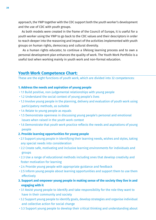approach, the YWP together with the CDC support both the youth worker's development and the use of CDC with youth groups.

 As both models were created in the frame of the Council of Europe, it is useful for a youth worker using the YWP to go back to the CDC values and their descriptors in order to reach deeper into the reasoning and impact of the activities implemented with youth groups on human rights, democracy and cultural diversity.

 As a human rights educator, to continue a lifelong learning process and to own a personal development plan enhances the quality of work. The Youth Work Portfolio is a useful tool when working mainly in youth work and non-formal education.

#### **Youth Work Competence Chart:**

These are the eight functions of youth work, which are divided into 32 competences:

#### **1. Address the needs and aspiration of young people**

- 1.1 Build positive, non-judgemental relationships with young people
- 1.2 Understand the social context of young people's lives
- 1.3 Involve young people in the planning, delivery and evaluation of youth work using participatory methods, as suitable
- 1.4 Relate to young people as equals
- 1.5 Demonstrate openness in discussing young people's personal and emotional issues when raised in the youth work context
- 1.6 Demonstrate that youth work practice reflects the needs and aspirations of young people
- **2. Provide learning opportunities for young people**
- 2.1 Support young people in identifying their learning needs, wishes and styles, taking any special needs into consideration
- 2.2 Create safe, motivating and inclusive learning environments for individuals and groups
- 2.3 Use a range of educational methods including ones that develop creativity and foster motivation for learning
- 2.4 Provide young people with appropriate guidance and feedback
- 2.5 Inform young people about learning opportunities and support them to use them effectively
- **3. Support and empower young people in making sense of the society they live in and engaging with it**
- 3.1 Assist young people to identify and take responsibility for the role they want to have in their community and society
- 3.2 Support young people to identify goals, develop strategies and organise individual and collective action for social change
- 3.3 Support young people to develop their critical thinking and understanding about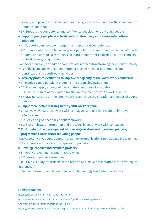society and power, how social and political systems work, and how they can have an influence on them

• 3.4 Support the competence and confidence development of young people

#### **4. Support young people in actively and constructively addressing intercultural relations**

- 4.1 Support young people in acquiring intercultural competences
- 4.2 Promote interaction between young people who come from diverse backgrounds at home and abroad so that they can learn about other countries, cultural contexts, political beliefs, religions, etc.
- 4.3 Work creatively on and with conflicts with a view to transforming them constructively
- •4.4 Actively include young people from a diverse range of backgrounds and identifications in youth work activities

#### **5. Actively practice evaluation to improve the quality of the youth work conducted**

- 5.1 Involve young people in planning and organising evaluation
- 5.2 Plan and apply a range of participatory methods of evaluation
- 5.3 Use the results of evaluation for the improvement of youth work practice
- 5.4 Stay up-to-date on the latest youth research on the situation and needs of young people
- **6. Support collective learning in the youth workers' team**
- 6.1 Actively evaluate teamwork with colleagues and use the results to improve effectiveness
- 6.2 Seek and give feedback about teamwork
- 6.3 Share relevant information and practices in youth work with colleagues
- **7. Contribute to the development of their organisation and to making policies/ programmes work better for young people**
- 7.1 Actively involve young people in shaping the organisation's policies and programmes
- 7.2 Cooperate with others to shape youth policies

#### **8. Develop, conduct and evaluate projects**

- 8.1 Apply project management approaches
- 8.2 Seek and manage resources
- 8.3 Give visibility to projects, write reports and make presentations, for a variety of audiences
- 8.4 Use information and communication technology tools when necessary

#### **Further reading:**

https://www.coe.int/en/web/youth-portfolio https://www.coe.int/en/web/youth-portfolio/youth-work-competence CoE youth work recommendations CM/Rec(2017)4: https://rm.coe.int/cmrec-2017-4-and-explanatory-memorandum-youth-work-web/16808ff0d1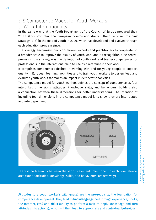## ETS Competence Model for Youth Workers to Work Internationally

In the same way that the Youth Department of the Council of Europe prepared their Youth Work Portfolio, the European Commission drafted their European Training Strategy (ETS) in the field of youth in 2000, which has developed and evolved through each education program since.

The strategy encourages decision-makers, experts and practitioners to cooperate on a broader scale to improve the quality of youth work and its recognition. One central process in the strategy was the definition of youth work and trainer competences for professionals in the international field to use as a reference in their work.

It comprises competences desired in working with and for young people to support quality in European learning mobilities and to train youth workers to design, lead and evaluate youth work that makes an impact in democratic societies.

The competence model for youth workers defines the concept of competence as four interlinked dimensions: attitudes, knowledge, skills, and behaviours, building also a connection between these dimensions for better understanding. The intention of including four dimensions in the competence model is to show they are interrelated and interdependent.



source: www.salto-youth.net/Training-And-Cooperation,

and ETC@salto-youth.net

There is no hierarchy between the various elements mentioned in each competence area (under attitudes, knowledge, skills, and behaviours, respectively).

**Attitudes** (the youth worker's willingness) are the pre-requisite, the foundation for competence development. They lead to **knowledge** (gained through experience, books, the Internet, etc.) and **skills** (ability to perform a task, to apply knowledge and turn attitudes into actions), which will then lead to appropriate and contextual **behaviour**.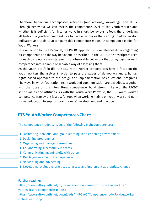Therefore, behaviour encompasses attitudes [and actions], knowledge, and skills. Through behaviour we can assess the competence level of the youth worker and whether it is sufficient for his/her work. In short: behaviour reflects the underlying attitudes of a youth worker. Feel free to use behaviour as the starting point to develop indicators and tools to accompany this competence model. (A competence Model for Youth Workers)

In comparison to the ETS model, the RFCDC approach to competences differs regarding its' components and the way behaviour is described. In the RFCDC, the descriptors used for each competence are statements of observable behaviour that bring together each competence into a simple observable way of assessing them.

As the youth portfolio did, the ETS Youth Worker competences have a focus on the youth workers themselves in order to pass the values of democracy and a human rights-based approach to the design and implementation of educational programs. The ways in which facilitation, team work and communication are described, together with the focus on the intercultural competence, build strong links with the RFCDC set of values and attitudes. As with the Youth Work Portfolio, the ETS Youth Worker competence framework is a useful tool when working mainly on youth work and nonformal education to support practitioners' development and practice.

### **ETS Youth Worker Competences Chart:**

The competence model consists of the following eight competences:

- **1** Facilitating individual and group learning in an enriching environment
- **2** Designing programmes
- **3** Organising and managing resources
- **4** Collaborating successfully in teams
- **5** Communicating meaningfully with others
- **6** Displaying intercultural competence
- **7** Networking and advocating
- **8** Developing evaluative practices to assess and implement appropriate change

#### **Further reading:**

https://www.salto-youth.net/rc/training-and-cooperation/tc-rc-nanetworktcs/ youthworkers-competence-model/ https://www.salto-youth.net/downloads/4-17-3460/CompetencemodelForYoutworker\_ Online-web.pdf.pdf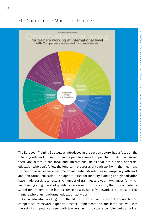## ETS Competence Model for Trainers



The European Training Strategy, as introduced in the section before, had a focus on the role of youth work to support young people across Europe. The ETS also recognized there are actors in the local and international fields that are outside of formal education who don't follow the long-term processes of youth work with their learners. Trainers themselves have become an influential stakeholder in European youth work and non-formal education. The opportunities for mobility, funding and globalisation have made possible an extensive number of trainings and youth exchanges for which maintaining a high level of quality is necessary. For this reason, the ETS Competence Model for Trainers came into existence as a dynamic framework to be consulted by trainers who plan non-formal education activities.

 As an educator working with the RFCDC from an out-of-school approach, this competence framework supports practice, implementation and interlinks well with the set of competences used with learners, as it provides a complementary look at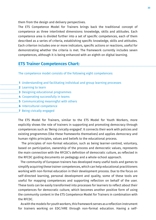them from the design and delivery perspectives.

The ETS Competence Model for Trainers brings back the traditional concept of competence as three interlinked dimensions: knowledge, skills and attitudes. Each competence area is divided further into a set of specific competences, each of them described as a series of criteria, establishing specific knowledge, skills and attitudes. Each criterion includes one or more indicators, specific actions or reactions, useful for demonstrating whether the criteria is met. The framework currently includes seven competences, although it is being enhanced with an eighth on digital learning.

#### **ETS Trainer Competences Chart:**

The competence model consists of the following eight competences:

- **1** Understanding and facilitating individual and group learning processes
- **2** Learning to learn
- **3** Designing educational programmes
- **4** Cooperating successfully in teams
- **5** Communicating meaningful with others
- **6** Intercultural competence
- **7** Being civically engaged

The ETS Model for Trainers, similar to the ETS Model for Youth Workers, more explicitly shows the role of trainers in supporting and promoting democracy through competences such as 'Being civically engaged'. It connects their work with policies and existing programmes (like these frameworks themselves) and applies democracy and human rights principles, values and beliefs to the educational process.

 The principles of non-formal education, such as being learner-centred, voluntary, based on participation, ownership of the process and democratic values, represents the main connection with the RFCDC's definition of democratic culture, as reflected in the RFCDC guiding documents on pedagogy and a whole-school approach.

 The community of European trainers has developed many useful tools and games to simplify acquiring these trainer competences, which can help educational practitioners working with non-formal education in their development process. Due to the focus on self-directed learning, personal development and quality, some of these tools are useful for mapping competences and supporting reflection on behalf of the user. These tools can be easily transformed into processes for learners to reflect about their competences for democratic culture, which becomes another positive form of using the community content in the ETS Competence Model for Trainers in combination with the RFCDC.

 As with the models for youth workers, this framework serves as a reflection instrument for trainers working on EDC/HRE through non-formal education. Having a self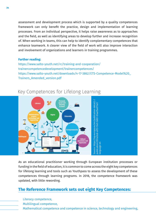assessment and development process which is supported by a quality competences framework can only benefit the practice, design and implementation of learning processes. From an individual perspective, it helps raise awareness as to approaches and the field, as well as identifying areas to develop further and increase recognition of. When working in teams, this can help to identify complementary competences that enhance teamwork. A clearer view of the field of work will also improve interaction and involvement of organizations and learners in training programmes.

#### **Further reading:**

https://www.salto-youth.net/rc/training-and-cooperation/ trainercompetencedevelopment/trainercompetences/ https://www.salto-youth.net/downloads/4-17-3862/ETS-Competence-Model%20\_ Trainers\_Amended\_version.pdf



## Key Competences for Lifelong Learning

As an educational practitioner working through European institution processes or funding in the field of education, it is common to come across the eight key competences for lifelong learning and tools such as Youthpass to assess the development of these competences through learning programs. In 2018, the competence framework was updated, with little rewording.

#### **The Reference Framework sets out eight Key Competences:**

Literacy competence, Multilingual competence, Mathematical competence and competence in science, technology and engineering,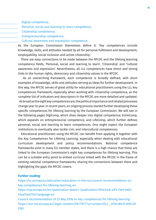Digital competence,

Personal, social and learning to learn competence,

Citizenship competence,

Entrepreneurship competence,

Cultural awareness and expression competence.

As the European Commission themselves define it: 'Key competences include knowledge, skills, and attitudes needed by all for personal fulfilment and development, employability, social inclusion and active citizenship.'

 There are easy connections to be made between the RFCDC and the lifelong learning competence fields, 'Personal, social and learning to learn', 'Citizenship' and 'Cultural awareness and expression'. Nevertheless, all LLL competences have direct and strong links to the human rights, democracy and citizenship values in the RFCDC.

 As an overarching framework, each competence is broadly defined, with short examples of knowledge, skills and attitudes serving as ideas for further development. In this way, the RFCDC serves of great utility for educational practitioners using the LLL key competences framework, especially when working with citizenship competence, as the complete list of indicators and descriptors in the RFCDC are more detailed and updated. As broad as the eight key competences are, the political importance and related processes change year to year. In recent years, an ongoing process started further developing these specific competences for lifelong learning by the European Commission. We will see in the following pages DigiComp, which dives deeper into digital competence; EntreComp, which expands on entrepreneurial competence; and LifeComp, which further defines personal, social and learning to learn competences. One might expect the European institutions to eventually also tackle civic and intercultural competences.

 Educational practitioners using the RFCDC can benefit from applying it together with the Key Competences for Lifelong Learning, especially when dealing with educational curriculum development and policy recommendations. National competence frameworks exist in many EU member states, and there is a high chance that these are linked to the European Commission's eight key competences for lifelong learning. This can be a suitable entry point to embed curricula linked with the RFCDC in the frame of existing national competence frameworks, sharing the connections between them and highlighting the gaps the RFCDC covers.

#### **Further reading:**

https://ec.europa.eu/education/education-in-the-eu/council-recommendation-onkey-competences-for-lifelong-learning\_en https://op.europa.eu/en/publication-detail/-/publication/297a33c8-a1f3-11e9-9d01- 01aa75ed71a1/language-en Council recommendation of 22 May 2018 on key competences for lifelong learning: https://eur-lex.europa.eu/legal-content/EN/TXT/?uri=uriserv:OJ.C\_.2018.189.01.0001.01. ENG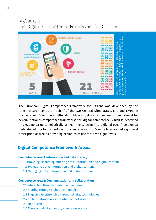## DigComp 2.1: The Digital Competence Framework for Citizens



The European Digital Competence Framework for Citizens was developed by the Joint Research Centre on behalf of the two General Directorates, EAC and EMPL, in the European Commission. After its publication, it was an inspiration and stencil for several national competence frameworks for 'digital competence', which is described in DigComp 2.1 quite holistically as 'learning to swim in the digital ocean'. Version 2.1 dedicated efforts to the work on proficiency levels with 'a more fine-grained eight level description as well as providing examples of use for these eight levels'.

## **Digital Competence Framework Areas:**

#### **Competence area 1: Information and data literacy**

- 1.1 Browsing, searching, filtering data, information and digital content
- 1.2 Evaluating data, information and digital content
- 1.3 Managing data, information and digital content

#### **Competence area 2: Communication and collaboration**

- 2.1 Interacting through digital technologies
- 2.2 Sharing through digital technologies
- 2.3 Engaging in citizenship through digital technologies
- 2.4 Collaborating through digital technologies
- 2.5 Netiquette
- 2.6 Managing digital identity competence area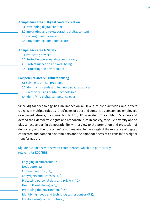#### **Competence area 3: Digital content creation**

- 3.1 Developing digital content
- 3.2 Integrating and re-elaborating digital content
- 3.3 Copyright and licences
- 3.4 Programming Competence area

#### **Competence area 4: Safety**

- 4.1 Protecting devices
- 4.2 Protecting personal data and privacy
- 4.3 Protecting health and well-being
- 4.4 Protecting the environment

#### **Competence area 5: Problem solving**

- 5.1 Solving technical problems
- 5.2 Identifying needs and technological responses
- 5.3 Creatively using digital technologies
- 5.4 Identifying digital competence gaps

Since digital technology has an impact on all levels of civic activities and affects citizens in multiple roles as (prod)users of data and content, as consumers, employees or engaged citizens, the connection to EDC/HRE is evident. The ability to 'exercise and defend their democratic rights and responsibilities in society, to value diversity and to play an active part in democratic life, with a view to the promotion and protection of democracy and the rule of law' is not imaginable if we neglect the existence of digital, connected and datafied environments and the embeddedness of citizens in this digital transformation.

#### DigComp 2.1 deals with several competences, which are particularly relevant for EDC/HRE:

| Engaging in citizenship (2.1),                       |
|------------------------------------------------------|
| Netiquette (2.5),                                    |
| Content creation (3.1),                              |
| Copyrights and licenses (3.3),                       |
| Protecting personal data and privacy (4.2),          |
| Health & well-being (4.3),                           |
| Protecting the environment (4.4),                    |
| Identifying needs and technological responses (5.2), |
| Creative usage of technology (5.3).                  |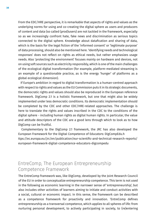**Excellences & Perfections** which is the basis for the legal fiction of the 'informed consent' or 'legitimate purpose' From the EDC/HRE perspective, it is remarkable that aspects of rights and values as the underlying norms for using and co-creating the digital sphere as users and producers of content and data (so called (prod)users) are not tackled in the framework, especially so as we increasingly confront hate, fake news and discrimination as serious topics connected to the digital sphere. Knowledge about datafication and sharing of data, of data processing, should also be mentioned here. 'Identifying needs and technological responses' does not reflect on rights as ethical needs, but rather emphasizes usage needs. Also 'protecting the environment' focuses mainly on hardware and devices, not on using soft sources such as electricity responsibly, which is one of the main challenges of the ecological digital transformation (for example, platform-mediated streaming is an example of a questionable practice, as is the energy 'hunger' of platforms as a global ecological dimension).

 If Europe's ambition in regard to digital transformation is a human-centred approach with respect to rights and values as the EU Commission puts it in its strategic documents, the democratic rights and values should also be reproduced in the European reference framework. DigComp 2.1 is a holistic framework, but one that might also be widely implemented under less democratic conditions. Its democratic implementation should be completed by the CDC and other EDC/HRE-related approaches. The challenge is here to translate the rights and values inscribed in the CDC to the conditions of the digital sphere - including human rights as digital human rights. In particular, the value and attitude descriptors of the CDC are a good lens through which to look as to how DigComp can be fruitful.

 Complementary to the DigComp 2.1 framework, the JRC has also developed the European Framework for the Digital Competence of Educators: DigCompEdu.h ttps://ec.europa.eu/jrc/en/publication/eur-scientific-and-technical-research-reports/ european-framework-digital-competence-educators-digcompedu

## EntreComp, The European Entrepreneurship Competence Framework

The EntreComp framework was, like DigComp, developed by the Joint Research Council of the EU in order to conceptualize entrepreneurship competence. This term is not used in the following as economic learning in the narrower sense of 'entrepreneurship', but also includes other activities of learners aiming to initiate and conduct activities with a social, cultural or economic impact. In this sense, the framework can be described as a competence framework for proactivity and innovation. 'EntreComp defines entrepreneurship as a transversal competence, which applies to all spheres of life: from nurturing personal development, to actively participating in society, to (re)entering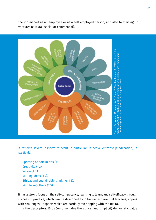

the job market as an employee or as a self-employed person, and also to starting up ventures (cultural, social or commercial).'

It reflects several aspects relevant in particular in active citizenship education, in particular:

 Spotting opportunities (1.1), Creativity (1.2), Vision (1.3.), Valuing ideas (1.4), Ethical and sustainable thinking (1.5), Mobilizing others (2.5).

It has a strong focus on the self-competence, learning to learn, and self-efficacy through successful practice, which can be described as initiative, experiential learning, coping with challenges – aspects which are partially overlapping with the RFCDC.

In the descriptors, EntreComp includes the ethical and (implicit) democratic value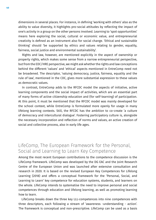dimensions in several places. For instance, in defining 'working with others' also as the ability to value diversity, it highlights pro-social attitudes by reflecting the impact of one's activity in a group on the other persons involved. Learning to 'spot opportunities' means here exploring the social, cultural or economic value, and entrepreneurial creativity is defined as an instrument also for social change. 'Ethical and sustainable thinking' should 'be supported by ethics and values relating to gender, equality, fairness, social justice and environmental sustainability'.

 Rights and law, however, are mentioned explicitly in the aspect of ownership or property rights, which makes some sense from a narrow entrepreneurial perspective, but from the EDC/HRE perspective, we might ask whether the rights and law conceptions behind the different 'values' and 'ethical' aspects mentioned in EntreComp need not be broadened. The descriptor, 'valuing democracy, justice, fairness, equality and the rule of law', mentioned in the CDC, gives more substantial expression to these values as democratic values.

 In contrast, EntreComp adds to the RFCDC model the aspects of initiative, active learning components and the social impact of activities, which are an essential part of many forms of active citizenship education and (for self-learning) of participation. At this point, it must be mentioned that the RFCDC model was mainly developed for the school context, while EntreComp is formulated more openly for usage in many lifelong learning contexts. Still, the RFCDC has the ambition to co-create 'a culture of democracy and intercultural dialogue'. Fostering participatory culture is, alongside the necessary incorporation and reflection of norms and values, an active creation of social and collective process, also in early life ages.

# LifeComp, The European Framework for the Personal, Social and Learning to Learn Key Competence

Among the most recent European contributions to the competence discussion is the LifeComp framework. LifeComp was developed by the DG EAC and the Joint Research Centre of the European Union and was launched after extensive consultation and research in 2020. It is based on the revised European Key Competences for Lifelong Learning (2018) and offers a conceptual framework for the 'Personal, Social, and Learning to Learn' key competence for education systems, students, and learners on the whole. LifeComp intends to systematise the need to improve personal and social competences through education and lifelong learning, as well as promoting learning how to learn.

 LifeComp breaks down the three key LLL-competences into nine competences with three descriptors, each following a stream of 'awareness -understanding - action'. The framework is conceptual and non-prescriptive. LifeComp can be used as a basis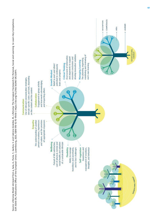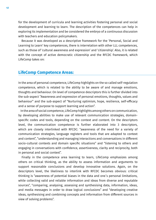for the development of curricula and learning activities fostering personal and social development and learning to learn. The description of the competences can help in exploring its implementation and be considered the embryo of a continuous discussion with teachers and education policymakers.

 Because it was developed as a descriptive framework for the 'Personal, Social and Learning to Learn' key competences, there is interrelation with other LLL competences, such as those of 'cultural awareness and expression' and 'citizenship'. Also, it is related with the concept of active democratic citizenship and the RFCDC framework, which LifeComp takes on:

## **LifeComp Competence Areas:**

In the area of personal competence, LifeComp highlights on the so called self-regulation competence, which is related to the ability to be aware of and manage emotions, thoughts and behaviour. On level of competence descriptors this is further divided into the sub-aspect "Awareness and expression of personal emotions, thoughts, values and behaviour" and the sub-aspect of "Nurturing optimism, hope, resilience, self-efficacy and a sense of purpose to support learning and action".

 In the area of social competence, LifeComp highlights among others on communication, by developing abilities to make use of relevant communication strategies, domainspecific codes and tools, depending on the context and content. On the descriptors level, the communication competence is further elaborated into 3 descriptors, which are closely interlinked with RFCDC: "awareness of the need for a variety of communication strategies, language registers and tools that are adapted to context and content", "understanding and managing interactions and conversations in different socio-cultural contexts and domain specific situations" and "listening to others and engaging in conversations with confidence, assertiveness, clarity and reciprocity, both in personal and social context".

 Finally in the competence area learning to learn, LifeComp emphasizes among others on critical thinking, as the ability to assess information and arguments to support reasonable conclusions and develop innovative solutions. Again, on the descriptors level, the likeliness to interlink with RFCDC becomes obvious: critical thinking is "awareness of potential biases in the data and one´s personal limitations, while collecting valid and reliable information and ideas from diverse and reputable sources", "comparing, analysing, assessing and synthesising data, information, ideas, and media messages in order to draw logical conclusions" and "developing creative ideas, synthesising and combining concepts and information from different sources in view of solving problems".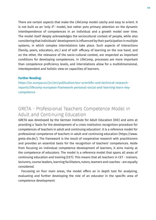There are certain aspects that make the LifeComp model catchy and easy to orient. It is not built as an 'only if'- model, but rather puts primary attention on the dynamic interdependence of competences in an individual and a growth model over time. The model itself deeply acknowledges the sociocultural context of people, while also considering that individuals' development is influenced by their participation in multiple systems, in which complex interrelations take place. Such aspects of interactions (family, peers, educators, etc.) and of self- efficacy of learning on the one hand, and on the other, the relevance of the socio-cultural context, are respected as important conditions for developing competences. In LifeComp, processes are more important than competence proficiency levels, and interrelations allow for a multidimensional, interdependent and holistic view on capacities of learners.

#### **Further Reading:**

https://ec.europa.eu/jrc/en/publication/eur-scientific-and-technical-researchreports/lifecomp-european-framework-personal-social-and-learning-learn-keycompetence

# GRETA - Professional Teachers Competence Model in Adult and Continuing Education

GRETA was developed by the German Institute for Adult Education (DIE) and aims at providing a 'basis for the development of a cross-institution recognition procedure for competences of teachers in adult and continuing education'. It is a reference model for professional competence of teachers in adult and continuing education (https://www. greta-die.de/). The framework is the result of cooperative research with practitioners and provides an essential basis for the recognition of teachers' competences. Aside from focusing on individual competence development of learners, it aims mainly at the competence of educators. The model is a reference model that spans all areas of continuing education and training (CET). This means that all teachers in CET - trainers, lecturers, course leaders, learning facilitators, tutors, teamers and coaches - are equally considered.

 Focussing on four main areas, the model offers an in depth tool for analysing, evaluating and further developing the role of an educator in the specific area of competence development: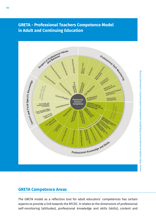## **GRETA - Professional Teachers Competence Model in Adult and Continuing Education**



## **GRETA Competence Areas**

The GRETA model as a reflection tool for adult educators´ competences has certain aspects to provide a link towards the RFCDC. It relates to the dimensions of professional self-monitoring (attitudes), professional knowledge and skills (skills), content and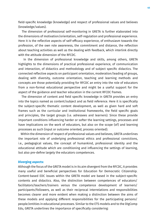field-specific knowledge (knowledge) and respect of professional values and believes (knowledge/values).

 The dimension of professional self-monitoring in GRETA is further elaborated into the dimensions of motivation/orientation, self-regulation and professional experience. Here it is the reflective aspects of self-efficacy experience, of enthusiasm towards the profession, of the own role awareness, the commitment and distance, the reflection about teaching activities as well as the dealing with feedback, which interlink directly with the attitude dimension of the RFCDC.

 In the dimension of professional knowledge and skills, among others, GRETA highlights to the dimensions of practical professional experience, of communication and interaction, of didactics and methodology and of subject specific didactics. The connected reflective aspects on participant orientation, moderation/leading of groups, dealing with diversity, outcome orientation, teaching and learning methods and concepts are those potentially providing for RFCDC an entry into the role of educators from a non-formal educational perspective and might be a useful support for the aspect of the guidance and teacher education in the current RFCDC frames.

 The dimension of content and field specific knowledge in GRETA provides an entry into the topics named as content/subject and as field reference. Here it is specifically the subject-specific thematic content development, as well as given hard and soft frames such as the curricular and institutional frameworks, the field specific goals and principles, the target groups (i.e. adressees and learners). Since these provide important conditions influencing harder or softer the learning settings, processes and have implications on the work of educators, but also on the scope (of) and learning processes as such (input or outcome oriented, process oriented).

 Within the dimension of respect of professional values and believes, GRETA underlines the important role of underlying professional ethics and professional convictions, i.e., pedagogical values, the concept of humankind, professional identity and the educational attitude which are conditioning and influencing the settings of learning, but also pre-define largely the educators competences.

#### **Diverging aspects:**

Although the focus of the GRETA model is in its aim divergent from the RFCDC, it provides many useful and beneficial perspectives for Education for Democratic Citizenship. Content-based EDC issues within the GRETA model are based in the subject-specific contents and didactics. Also, the distinction between competences of educators/ facilitators/teachers/trainers versus the competence development of learners/ participants/followers, as well as their reciprocal interrelations and responsibilities becomes clearer and more evident when making a distinction between the aims of these models and applying different responsibilities for the participating persons/ people/entities in educational processes. Similar to the ETS models and to the DIgComp Edu, GRETA underlines the importance of specifically considering: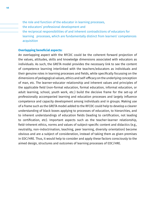the role and function of the educator in learning processes,

the educators' professional development and

 the reciprocal responsibilities of and inherent contradictions of educators for learning processes, which are fundamentally distinct from learners' competences acquisition

#### **Overlapping beneficial aspects:**

An overlapping aspect with the RFCDC could be the coherent forward projection of the values, attitudes, skills and knowledge dimensions associated with educators as individuals. As such, the GRETA model provides the necessary link to see the content of competence learning interlinked with the teachers/educators as individuals and their genuine roles in learning processes and fields, while specifically focussing on the dimensions of pedagogical values, ethics and self-efficacy on the underlying conception of man, etc. The learner-educator relationship and inherent values and principles of the applicable field (non-formal education, formal education, informal education, or adult learning, school, youth work, etc.) build the decisive frame for the set-up of professionally accompanied learning and education processes and largely influence competence and capacity development among individuals and in groups. Making use of a frame such as the GRETA model added to the RFCDC could help to develop a clearer understanding of black boxes applying to processes of education, to hierarchies, and to inherent understandings of education fields (leading to certification, not leading to certification, etc). Important aspects such as the teacher-learner relationship, field-inherent ethics, norms and values of subject-specific content and didactics (e.g., neutrality, non-indoctrination, teaching, peer learning, diversity orientation) become obvious and are a subject of consideration, instead of taking them as given premises in EDC/HRE. Thus, it would help to consider and apply these factors consciously to the aimed design, structures and outcomes of learning processes of EDC/HRE.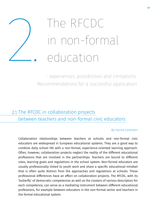# The RFCDC In the RFCDC<br>
in non-formal<br>
2. education<br>
2. experiences, possibilities and limit

 - experiences, possibilities and limitations. Recommendations for a successful application

# <u>2.1. The RFCDC in collaboration projects</u> between teachers and non-formal civic educators

#### By Hanna Lorenzen

Collaboration relationships between teachers at schools and non-formal civic educators are widespread in European educational systems. They are a good way to combine daily school life with a non-formal, experience-oriented learning approach. Often, however, collaboration projects neglect the reality of the different educational professions that are involved in the partnerships. Teachers are bound to different roles, learning goals and regulations in the school system. Non-formal educators are usually professionally linked to youth work and share a specific educational mindset that is often quite distinct from the approaches and regulations at schools. These professional differences have an effect on collaboration projects. The RFCDC, with its 'butterfly' of democratic competences as well as the clusters of various descriptors for each competence, can serve as a mediating instrument between different educational professions, for example between educators in the non-formal sector and teachers in the formal educational system.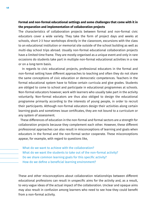#### **Formal and non-formal educational settings and some challenges that come with it in the preparation and implementation of collaboration projects**

The characteristics of collaboration projects between formal and non-formal civic educators cover a wide variety. They take the form of project days and weeks at schools, short 2-3 hour workshops directly in the classroom, excursions with the class to an educational institution or memorial site outside of the school building as well as multi-day school trips abroad. Usually non-formal educational collaboration projects have a limited time frame. They are mostly organised as a unique event and only in rare occasions do students take part in multiple non-formal educational activities in a row or on a long-term basis.

 In regards to civic educational projects, professional educators in the formal and non-formal setting have different approaches to teaching and often they do not share the same conceptions of civic education or democratic competences. Teachers in the formal educational system have to follow certain curricula and give grades. Students are obliged to come to school and participate in educational programmes at schools. Non-formal educators however, work with learners who usually take part in the activity voluntarily. Non-formal educators are thus also obliged to design the educational programme primarily according to the interests of young people, in order to recruit their participants. Although non-formal educators design their activities along certain learning goals and sometimes issue certificates, they are not bound to a curriculum or any system of assessment.

 These differences of education in the non-formal and formal sectors are a strength for collaboration projects because they complement each other. However, these different professional approaches can also result in misconceptions of learning and goals when educators in the formal and the non-formal sector cooperate. These misconceptions appear, for example, with regard to questions like,

 What do we want to achieve with the collaboration? What do we want the students to take out of the non-formal activity? Do we share common learning goals for this specific activity? How do we define a beneficial learning environment?

These and other misconceptions about collaboration relationships between different educational professions can result in unspecific aims for the activity and, as a result, to very vague ideas of the actual impact of the collaboration. Unclear and opaque aims may also result in confusion among learners who need to see how they could benefit from a non-formal activity.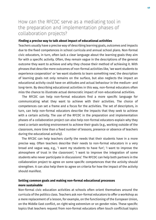## How can the RFCDC serve as a mediating tool in the preparation and implementation phases of collaboration projects?

#### **Finding a precise way to talk about impact of educational activities**

Teachers usually have a precise way of describing learning goals, outcomes and impacts due to the fixed competences in school curricula and annual school plans. Non-formal civic educators, in turn, often lack a clear language about the learning goals they aim for with a specific activity. Often, they remain vague in the descriptions of the general outcome they want to achieve and why they choose their method of achieving it. With phrases that describe mere outcomes of non-formal activities like, 'we want students to experience cooperation' or 'we want students to learn something new', the description of learning goals not only remains on the surface, but also neglects the impact an educational activity could have on attitudes and actual behaviour in the medium- and long-term. By describing educational activities in this way, non-formal educators often miss the chance to illustrate actual democratic impact of non-educational activities.

 The RFCDC can help non-formal educators find a more specific language for communicating what they want to achieve with their activities. The choice of competences can set a frame and a focus for the activities. The set of descriptors, in turn, can help non-formal educators describe the impacts that they seek to achieve with a certain activity. The use of the RFCDC in the preparation and implementation phases of a collaboration project can also help non-formal educators explain why they need a certain working environment to achieve their goals (e.g., working outside of the classroom, more time than a fixed number of lessons, presence or absence of teachers during the educational activity).

 The RFCDC can help teachers clarify the needs that their students have in a more precise way. Often teachers describe their needs to non-formal educators in a very broad and vague way, e.g., 'I want my students to have fun'; 'I want to improve the atmosphere of trust in the classroom'; 'I want to improve the integration of some students who never participate in discussions'. The RFCDC can help both partners in the collaboration project to agree on some specific competences that the activity should strengthen. It can also help them to agree on criteria for how the impact of the activity should manifest.

## **Setting common goals and making non-formal educational processes more sustainable**

Non-formal civic education activities at schools often orient themselves around the curricula of the politics class. Teachers ask non-formal educators to offer a workshop as a mere replacement of a lesson, for example, on the functioning of the European Union, on the Middle East conflict, on right-wing extremism or on gender roles. These specific topics that teachers request from non-formal educators often touch conflictual topics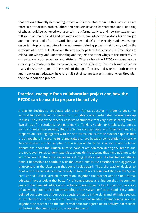that are exceptionally demanding to deal with in the classroom. In this case it is even more important that both collaboration partners have a clear common understanding of what should be achieved with a certain non-formal activity and how the teacher can follow up on the topic at hand, when the non-formal educator has done his or her job and left the school after the workshop has ended. Often the ready-made workshops on certain topics have quite a knowledge-orientated approach that fit very well in the curricula of the schools. However, these workshops tend to focus on the dimensions of critical knowledge and understanding and neglect the other wings of the 'butterfly' of competences, such as values and attitudes. This is where the RFCDC can come in as a check-up as to whether the ready-made workshop offered by the non-formal educator really does touch upon all the needs of the specific class and whether both teacher and non-formal educator have the full set of competences in mind when they plan their collaboration project.

## **Practical example for a collaboration project and how the RFCDC can be used to prepare the activity**

A teacher decides to cooperate with a non-formal educator in order to get some support for conflicts in the classroom in situations when certain discussions come up in class. The class of the teacher consists of students from very diverse backgrounds. Two thirds of the students have parents with Turkish, Kurdish or Arabic backgrounds, some students have recently fled the Syrian civil war zone with their families. At a preparation meeting together with the non-formal educator the teacher explains that the atmosphere in class has fundamentally changed between some students since the Turkish-Kurdish conflict erupted in the scope of the Syrian civil war. Harsh political discussions about the Turkish-Kurdish conflict are common during the breaks and the topic even tends to dominate discussions during lessons that have nothing to do with the conflict. The situation worsens during politics class. The teacher sometimes finds it impossible to continue with the lesson due to the emotional and aggressive atmosphere in the classroom that some topics spark. Thus, the teacher decides to book a non-formal educational activity in form of a 2-3 hour workshop on the Syrian conflict and Turkish-Kurdish intervention. Together, the teacher and the non-formal educator have a look at the 'butterfly' of competences and find out that the common goals of the planned collaboration activity do not primarily touch upon competences of knowledge and critical understanding of the Syrian conflict at hand. They rather defined competences of democratic culture that lie in the skills and attitudes sectors of the 'butterfly' as the relevant competences that needed strengthening in class. Together the teacher and the non-formal educator agreed on an activity that focused on fostering the descriptors of the competences of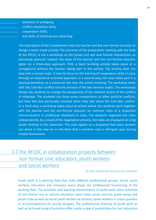- tolerance of ambiguity, conflict-resolution skills,
- cooperation skills,
- and skills of listening and observing.

The descriptors of the competences help the teacher and the non-formal educator to design a tailor-made activity. The outcome of the preparation meeting with the help of the RFCDC is not a workshop on the Syrian civil war and Turkish intervention, as previously planned. Instead, the team of the teacher and the non-formal educator agree on a three-step approach. First, a team building activity takes place at a campground without the teacher taking part in the activity. The activity does not deal with a certain topic. It sets its focus on the training of cooperation skills in class through an experience-oriented approach. In a second step, the class takes part in a daylong workshop on a memorial site near the school building. The workshop deals with the Cold War Conflict and the division of the two German states. The workshops allows the students to change the perspective of the relevant actors of the conflict in roleplays. The students can draw some comparisons to other political conflicts, but they feel less personally involved when they talk about the Cold War conflict. In a third step, a workshop takes place at school where the students work together with the teacher and the non-formal educator on common rules of a respectful communication in conflictual situations in class. The students negotiate the rules independently. As a result of the negotiation process, the rules are displayed on a big poster directly in the classroom. The class agrees on a buzzword that every student can shout in the case he or she feels that a common rule is infringed upon during heated discussions.

# 2.2. The RFCDC in collaboration projects between non-formal civic educators, youth workers and social workers

By Ole Jantschek and Hanna Lorenzen

Youth work is a working field that links different professional groups. Social youth workers, educators and voluntary peers shape the professional functioning of the working field. The activities and learning environments of youth work cover activities of non-formal civic or cultural education, sport clubs, youth councils, youth camps and youth clubs as well as social youth workers at schools, street workers in urban quarters or accommodations for young refugees. The professional diversity of youth work as well as its broad range of activities offer a wide scope of possibilities for civic education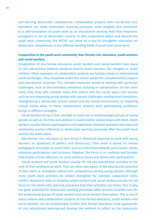and learning democratic competences. Collaboration projects with non-formal civic educators can make democratic learning processes more tangible and contribute to a self-conception of youth work as an educational working field that empowers youngsters to act as democratic citizens. In this cooperation within and beyond the youth work community, the RFCDC can serve as a tool to strengthen education on democratic competences in the different working fields of youth and social work.

### **Cooperation in the youth work community: Non-formal civic educators, youth workers and social workers**

Cooperation of non-formal educators, youth workers and social workers take place in civic educational projects aimed at hard-to-reach learners, like refugees or street children. Other examples of collaboration projects are holiday camps or international youth exchanges. They cooperate within the school system for complementary support and educational activities. This includes measures aimed at dealing with particular challenges, such as discriminatory behaviour, bullying or radicalization. On the other hand, they help with complex tasks that extend into the social space and society, such as accompanying young people with special challenges, professional transitions, strengthening a democratic school culture and the school environment, or imparting critical media skills. In these collaboration projects each participating profession brings in different strengths.

 Social workers bring in their strength to reach out to disadvantaged groups of young people as well as the time and abilities to build trustful relationships with them. Youth workers usually follow a participatory and experience-oriented approach that does not necessarily involve reflecting on democratic learning processes after the youth work activity has taken place.

 Non-formal civic educators in turn bring in didactical expertise to work with young learners on questions of politics and democracy. Their work is based on similar pedagogical principles as youth work, such as orientation towards participants' needs, voluntary participation and inclusion. However, the focus is on methods and formats that enable critical reflection on socio-political issues and democratic participation.

 Social workers and youth workers usually do not see educational activities at the core of their professional work. They are often less aware of the educational potential of their work to strengthen democratic competences among young people. Although many youth work activities do indeed strengthen for example cooperation skills, conflict-resolution skills or empathy, youth workers and social workers usually do not focus on the democratic learning processes that their activities can foster. This is why the great potential for democratic learning processes often remains invisible even for the professional groups of youth workers and social workers themselves. This is one of many reasons why collaboration projects of non-formal educators, youth workers and social workers can be exceptionally fruitful. Non-formal educators know approaches of civic educational learning and develop the methods to reflect on the democratic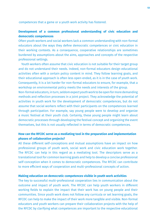competences that a game or a youth work activity has fostered.

#### **Development of a common professional understanding of civic education and democratic competences**

Often youth workers and social workers lack a common understanding with non-formal educators about the ways they define democratic competences or civic education in their working contexts. As a consequence, cooperative relationships are sometimes burdened by assumptions about the aims, approaches and concepts of the respective professional settings.

 Youth workers often assume that civic education is not suitable for their target group and do not understand their needs. Indeed, non-formal educators design educational activities often with a certain policy content in mind. They follow learning goals, and their educational approach is often less open-ended, as it is in the case of youth work. Consequently, it is a lot harder for non-formal educators to ensure, for example, that a workshop on environmental policy meets the needs and interests of the group.

Non-formal educators, in turn, seldom expect youth work to be open for more demanding methods and reflection processes in a joint project. They acknowledge the potential of activities in youth work for the development of democratic competences, but do not assume that social workers reflect with their participants on the competences learned through participation. For example, say young people were to develop and organize a music festival at their youth club. Certainly, these young people might learn about democratic processes through developing the festival concept and organizing the event themselves, but this is not usually reflected in terms of democratic competences.

#### **How can the RFCDC serve as a mediating tool in the preparation and implementation phases of collaboration projects?**

All these different self-conceptions and mutual assumptions have an impact on how professional groups of youth work, social work and civic education work together. The RFCDC can help in this regard as a mediating tool. The descriptors serve as a translational tool for common learning goals and help to develop a concise professional self-conception when it comes to democratic competences. The RFCDC can contribute to more efficient ways of cooperation and multi-professional concepts of action.

#### **Making education on democratic competences visible in youth work activities**

The key to successful multi-professional cooperation lies in communication about the outcome and impact of youth work. The RFCDC can help youth workers in different working fields to explain the impact that their work has on young people and their communities. Since youth work does not follow any curricula or set learning goals, the RFCDC can help to make the impact of their work more tangible and visible. Non-formal educators and youth workers can prepare their collaboration projects with the help of the RFCDC by clarifying what competences are important to the respective educational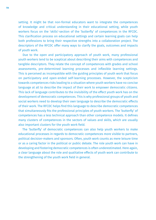setting. It might be that non-formal educators want to integrate the competences of knowledge and critical understanding in their educational setting, while youth workers focus on the 'skills'-section of the 'butterfly' of competences in the RFCDC. This clarification process on educational settings and certain learning goals can help both professions to bring their respective strengths into a collaboration project. The descriptors of the RFCDC offer many ways to clarify the goals, outcomes and impacts of youth work.

 Due to the open and participatory approach of youth work, many professional youth workers tend to be sceptical about describing their aims with competences and tangible descriptors. They relate the concept of competences with grades and school assessments, pre-determined learning processes and inflexible learning settings. This is perceived as incompatible with the guiding principles of youth work that focus on participatory and open-ended self-learning processes. However, the scepticism towards competences risks leading to a situation where youth workers have no concise language at all to describe the impact of their work to empower democratic citizens. This lack of language contributes to the invisibility of the effect youth work has on the development of democratic competences. This is why professional groups of youth and social workers need to develop their own language to describe the democratic effects of their work. The RFCDC helps find this language to describe democratic competences that simultaneously fits the professional principles of youth workers. The 'butterfly' of competences has a less technical approach than other competence models. It defines many clusters of competences in the sectors of values and skills, which are usually also important clusters for the youth work field.

 The 'butterfly' of democratic competences can also help youth workers to make educational processes in regards to democratic competences more visible to partners, political decision-makers and sponsors. Often, youth work counts as mere leisure time or as a caring factor in the political or public debate. The role youth work can have in developing and fostering democratic competences is often underestimated. Here again, a clear language about the role and qualitative effects of youth work can contribute to the strengthening of the youth work field in general.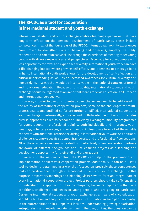## **The RFCDC as a tool for cooperation in international student and youth exchange**

International student and youth exchange enables learning experiences that have long-term effects on the personal development of participants. These include competences in all of the four areas of the RFCDC. International mobility experiences have proven to strengthen skills of listening and observing, empathy, flexibility, cooperation and communicative skills through the experience of meeting other young people with diverse experiences and perspectives. Especially for young people with less opportunity to travel and experience diversity, international youth work can have a life-changing impact, where growing self-efficacy and openness to others go hand in hand. International youth work allows for the development of self-reflection and critical understanding as well as an increased awareness for cultural diversity and human rights in a way that would be inconceivable in the national contexts of formal and non-formal education. Because of this quality, international student and youth exchange should be regarded as an important means for civic education in a European and international perspective.

 However, in order to use this potential, some challenges need to be addressed. In the reality of international cooperation projects, some of the challenges for multiprofessional teams outlined so far are further amplified. International student and youth exchange is, intrinsically, a diverse and multi-faceted field of work. It includes diverse approaches such as school and university exchanges, mobility programmes for young people in professional training, both individually and in groups, youth meetings, voluntary services, and work camps. Professionals from all of these fields cooperate with additional actors specializing in international youth work. An additional challenge is country-specific structural frameworks and professional self-conceptions. All of these aspects can usually be dealt with effectively when cooperation partners are aware of different backgrounds and use common projects as a learning and development opportunity for their staff and organizations.

 Similarly to the national context, the RFCDC can help in the preparation and implementation of successful cooperation projects. Additionally, it can be a useful tool to design programmes in a way that focuses on precisely those competences that can be developed through international student and youth exchange. For this purpose, preparatory meetings and planning visits have to form an integral part of every international cooperation project. Project partners should take sufficient time to understand the approach of their counterparts, but more importantly the living conditions, challenges and needs of young people who are going to participate. Designing international student and youth exchange as a means of civic education should be built on an analysis of the socio-political situation in each partner country. In the current situation in Europe this includes understanding growing polarisation, anti-pluralism and anti-democratic sentiment. Building on this, the question can be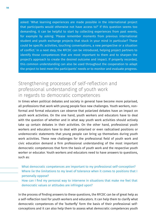asked: 'What learning experiences are made possible in the international project that participants would otherwise not have access to?' If this question seems too demanding, it can be helpful to start by collecting experiences from past events, for example by asking: 'Please remember moments from previous international student and youth exchange projects that stuck in your mind in particular? These could be specific activities, touching conversations, a new perspective or a situation of conflict.' In a next step, the RFCDC can be introduced, helping project partners to identify those competences that are most important to them and to sharpen the project's approach to create the desired outcome and impact. If properly recorded, this common understanding can also be used throughout the cooperation to adapt the project to best meet the participants' needs or to monitor and evaluate progress.

# Strengthening processes of self-reflection and professional understanding of youth work in regards to democratic competences

In times when political debates and society in general have become more polarised, all professions that work with young people face new challenges. Youth workers, nonformal and formal educators can observe that polarized debates have an impact on youth work activities. On the one hand, youth workers and educators have to deal with the question of whether and in what way youth work activities should actively take up certain debates in their activities. On the other hand, professional youth workers and educators have to deal with polarised or even radicalised positions or undemocratic statements that young people can bring up themselves during youth work activities. These new challenges for the professional field of youth work and civic education demand a firm professional understanding of the most important democratic competences that form the basis of youth work and the respective youth worker or educator. Youth workers and educators need to have answers to questions, such as:

What democratic competences are important to my professional self-conception? Where lie the limitations to my level of tolerance when it comes to positions that I personally oppose?

How can I find my personal way to intervene in situations that make me feel that democratic values or attitudes are infringed upon?

In the process of finding answers to these questions, the RFCDC can be of great help as a self-reflection tool for youth workers and educators. It can help them to clarify what democratic competences of the 'butterfly' form the basis of their professional selfconceptions and it can also help them to assess what democratic competences youth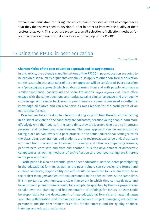workers and educators can bring into educational processes as well as competences that they themselves need to develop further in order to improve the quality of their professional work. This brochure presents a small selection of reflection methods for youth workers and non-formal educators with the help of the RFCDC.

# 2.3. Using the RFCDC in peer education

#### Thimo Nieselt

#### **Characteristics of the peer education approach and its target groups**

In this article, the potentials and limitations of the RFCDC in peer education are going to be explored. While many arguments certainly also apply to other non-formal education contexts, certain characteristics of the peer approach will be considered. Peer education is a 'pedagogical approach which enables learning from and with people who have a similar experiential background and share life-worlds' (Gegen Vergessen 2019). Peers often engage with the same questions and topics, speak a similar language and are roughly close in age. With similar backgrounds, peer trainers are usually perceived as authentic knowledge mediators and can also serve as roles-models for the participants of an educational format.

 Peer trainers take on a double role, and in doing so, profit from the educational setting in a distinct way; on the one hand, they are educators, because young people learn more effectively with their peers. At the same time, they are learners who acquire important personal and professional competences. The peer approach can be understood as taking place on two levels of a peer project. In the actual educational setting such as the classroom, peer trainers and students are in reciprocal exchange and, thus, learn with and from one another. Likewise, in trainings and other accompanying formats, peer trainers learn with and from one another. Thus, the development of democratic competences as well as methods of self-reflection and peer counselling are inherent in the peer approach.

 Participation is also an essential part of peer education. Both students participating in the educational formats as well as the peer trainers can co-design the format and content. Moreover, responsibility can and should be conferred to a certain extent from the project managers and educational personnel to the peer trainers. At the same time, it is important to communicate a clear framework in which they can participate and have ownership. Peer trainers could, for example, be qualified by the core project team to take over the planning and implementation of trainings for others, or they could be responsible for the development of new educational formats and material (Nieselt 2019). The collaboration and communication between project managers, educational personnel and the peer trainers is crucial for the success and the quality of those trainings and educational formats.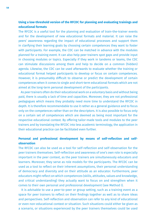## **Using a low-threshold version of the RFCDC for planning and evaluating trainings and educational formats**

The RFCDC is a useful tool for the planning and evaluation of train-the-trainer events and for the development of new educational formats and material. It can raise the peers' awareness regarding the impact of educational processes and support them in clarifying their learning goals by choosing certain competences they want to foster with participants. For example, the CDC can be matched in advance with the modules planned for a training event. It can also help peer trainers spot gaps and provide input in choosing modules or topics. Especially if they work in tandems or teams, the CDC can stimulate discussions among them and help to decide on a common (hidden) agenda. Likewise, the CDC can be used afterwards to evaluate whether the training or educational format helped participants to develop or focus on certain competences. However, it is presumably difficult to observe or predict the development of certain competences when it comes to single and short-term educational formats which are not aimed at the long-term personal development of the participants.

 As peer trainers often do their educational work on a voluntary basis and without being paid, there is usually a lack of time and capacities. Moreover, they are not professional pedagogues which means they probably need more time to understand the RFCDC in depth. It is therefore recommendable to use it rather as a general guidance and to focus only on the competences rather than on the descriptors. It is also possible to focus only on a certain set of competences which are deemed as being most important for the respective educational context. By offering tailor-made tools and modules to the peer trainers and by translating the RFCDC into less academic terminology, the application in their educational practice can be facilitated even further.

#### **Personal and professional development by means of self-reflection and selfobservation**

The RFCDC can also be used as a tool for self-reflection and self-observation for the peer trainers themselves. Self-reflection and awareness of one's own role is especially important in the peer context, as the peer trainers are simultaneously educators and learners. Moreover, they serve as role models for the participants. The RFCDC can be used as a tool to reflect on their inherent assumptions, their personal understanding of democracy and diversity and on their attitude as an educator. Furthermore, peer educators might reflect on which competences (skills, attitudes, values and knowledge, and critical understanding) they actually want to focus on and strengthen when it comes to their own personal and professional development (see Method I).

 It is advisable to use a peer-to-peer or group setting, such as a training event as a space for peer trainers to reflect on their findings together as well as to share ideas and perspectives. Self-reflection and observation can refer to any kind of educational or even non-educational context or situation. Such situations could either be given as a scenario, or situations experienced by the peer trainers themselves could be used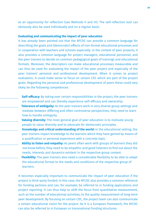as an opportunity for reflection (see Methods II and III). The self-reflection tool can obviously also be used individually and on a regular basis.

#### **Evaluating and communicating the impact of peer education**

It has already been pointed out that the RFCDC can provide a common language for describing the goals and (democratic) effects of non-formal educational processes and in cooperation with teachers and schools especially. In the context of peer projects, it also provides a common language for project managers, educational personnel, and the peer trainers to decide on common pedagogical goals of trainings and educational formats. Moreover, the descriptors can make educational processes measurable and can thus be used for evaluating the impact of the peer project and especially of the peer trainers' personal and professional development. When it comes to project evaluation, it could make sense to focus on certain CDC which are part of the project goals. Regarding the personal and professional development of peers these could very likely be the following competences:

- **Self-efficacy:** By taking over certain responsibilities in the project, the peer trainers are empowered and can thereby experience self-efficacy and ownership.
- **Tolerance of ambiguity:** As the peer trainers work in very diverse group settings and mediate between differing and often controverse perspectives, they need to learn how to handle ambiguity.
- **Valuing diversity:** The most general goal of peer education is to motivate young people to value diversity and to advocate for democratic principles.
- **Knowledge and critical understanding of the world:** In the educational setting, the peer trainers impart knowledge to the learners which they have gained by means of a qualification or personal experience with a concrete topic.
- **Ability to listen and empathy:** As peers often work with groups of learners they did not know before, they need to be empathic and good listeners to find out about the needs, interests and dynamics existent in the respective group context.
- **Flexibility:** The peer trainers also need a considerable flexibility to be able to adapt the educational format to the needs and conditions of the respective group of learners.

It becomes especially important to communicate the impact of peer education if the project is third-party funded. In this case, the RFCDC also provides a common reference for funding partners and can, for example, be referred to in funding applications and project reporting. It can thus help to shift the focus from quantitative measurement, such as the number of educational activities, to the quality measurement of long-term peer development. By focusing on certain CDC, the project team can also communicate a certain educational vision for the project. As it is a European framework, the RFCDC can also be referred to in European or transnational funding structures.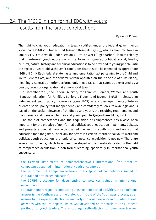# 2.4. The RFCDC in non-formal EDC with youth: results from the practice reflections

By Georg Pirker

The right to civic youth education is legally codified under the federal government's social code (SGB VIII Kinder- und Jugendhilfegesetz [KJHG]), which came into force in January 1991 (YouthWiki). Under Section § 11 Youth Work (Jugendarbeit), it states clearly that non-formal youth education with a focus on general, political, social, health, cultural, natural history and technical education is to be provided to young people until the age of 27-years-old, although it conditions that this can be extended as appropriate (SGB VIII § 11). Each federal state has an implementation act pertaining to the Child and Youth Services Act, and the federal system operates on the principle of subsidiarity, meaning a central authority performs only those tasks that cannot be executed by a person, group or organization at a more local level.

 In December 2019, the Federal Ministry for Families, Seniors, Women and Youth (Bundesministerium für Familien, Senioren, Frauen und Jugend [BMFSFJ]) released an independent youth policy framework (ages 12-27) as a cross-departmental, 'futureoriented social policy that independently and confidently follows its own logic and is based on the social relevance of childhood and youth, the resulting requirements and the interests and ideas of children and young people' (Jugendgerecht.de, n.d.).

 The topic of competences and the acquisition of competences has always been important for the practice of non-formal political youth education in Germany. Debates and projects around it have accompanied the field of youth work and non-formal education for a long time. Especially for actors in German international youth work and political youth education, the topic of competence acquisition is not new. There are several instruments, which have been developed and exhaustively tested in the field of competence acquisition in non-formal learning, specifically in international youth encounters:

- the German instruments of Kompetenznachweis International (the proof of competence acquired in international youth encounters),
- the instrument of Kompetenznachweis Kultur (proof of competences gained in cultural and arts-based education),
- the SCRIPT procedure for documenting competences gained in international encounters
- For practitioners regularly conducting Erasmus+ supported activities, the unanimous answer is the Youthpass and the dialogic principle of the Youthpass process, as an answer to the experts reflection exemplarily confirms: 'We work in our international activities with the 'Youthpass', which was developed on the basis of the European portfolio for youth leaders. This encourages self-reflection on one's own learning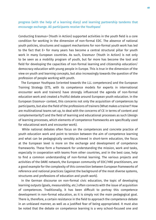progress (with the help of a learning diary) and learning partnership tandems that encourage exchange. All participants receive the Youthpass'

Conducting Erasmus+ (Youth in Action) supported activities in the youth field is a core condition for working in the dimension of non-formal EDC. The absence of national youth policies, structures and support mechanisms for non-formal youth work has led to the fact that E+ for many years has become a central structural pillar for youth work in many European countries. As such, Erasmus+ (Youth in Action) is not only to be seen as a mobility program of youth, but far more has become the tool and field for developing the capacities of non-formal learning and citizenship education/ democracy education with young people in Europe. This is true in the dimension of the view on youth and learning concepts, but also increasingly towards the question of the profession of people working with youth.

 The European Youthpass (oriented towards the LLL competences) and the European Training Strategy (ETS, with its competence models for experts in international encounter work and trainers) have strongly influenced the agenda of non-formal education work and created a fruitful debate around European youth education. In the European Erasmus+ context, this concerns not only the acquisition of competences by participants, but also the field of the professions of trainers (What makes a trainer? How are multinational teams set up, to deal with the concerns of CE in terms of content and complementarity?) and the field of learning and educational processes as such (design of learning processes, which elements of competence frameworks are specifically used for educational work and encounter work).

 While national debates often focus on the competences and concrete practice of youth education work and point to tension between the aim of competence learning and what can be pedagogically sensibly achieved in short-term education, the focus at the European level is more on the exchange and development of competence frameworks. These form a framework for understanding the mission, work and tasks, especially in cooperation with teams from other countries, and in the best case, help to find a common understanding of non-formal learning. The various projects and activities of the DARE network, the European community of EDC/HRE practitioners, are a good example for the complexity of this connection between European frameworks of reference and national practices: (against the background of the most diverse systems, structures and professions of education and youth work).

 In the German discourse on non-formal civic education, the topic of developing learning outputs (goals, measurability, etc.) often connects with the issue of acquisition of competences. Traditionally, it has been difficult to portray this competence development in non-formal education, as it is simply not the main pedagogical goal. There is, therefore, a certain resistance in the field to approach the competence debate in an unbiased manner, as well as a justified fear of being appropriated. It must also be noted that the debate on competence learning is a very school-focused one and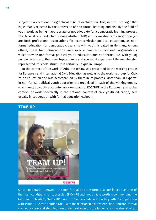subject to a vocational-biographical logic of exploitation. This, in turn, is a logic that is justifiably rejected by the profession of non-formal learning and also by the field of youth work, as being inappropriate or not adequate for a democratic learning process. The Arbeitskreis deutscher Bildungsstätten (AdB) and Evangelische Trägergruppe (et) are both professional associations for 'extracurricular political education', as nonformal education for democratic citizenship with youth is called in Germany. Among others, these two organisations unite over a hundred educational organisations, which provide non-formal political youth education and non-formal EDC with young people. In terms of their size, topical range and specialist expertise of the membership represented, this field structure is certainly unique in Europe.

 In the context of the work of AdB, the RFCDC was presented to the working groups for European and International Civic Education as well as to the working group for Civic Youth Education and was accompanied by them in its process. More than 30 experts\* in non-formal political youth education are organised in each of the working groups, who mainly do youth encounter work on topics of EDC/HRE in the European and global context, or work specifically in the national context of civic youth education, here usually in cooperation with formal education (school).



## **TEAM UP**

#### **UEMINI**

Since cooperation between the non-formal and the formal sector is seen as one of the main conditions for successful EDC/HRE with youth, it is worth recommending the German publication, 'Team UP – non-formal civic education with youth in cooperation with school'. The contributions deal with the relationship between school and non-formal civic education and shed light on the importance of supplementary educational offers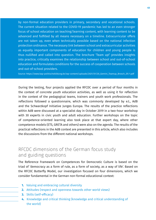by non-formal education providers in primary, secondary and vocational schools. The current situation related to the COVID-19 pandemic has led to an even stronger focus of school education on teaching/learning content, with learning content to be advanced and fulfilled by all means necessary on a timeline. Extracurricular offers are not taken up, even when technically possible based on the national infection protection ordinance. The necessary link between school and extracurricular activities as equally important components of education for children and young people is thus nullified and called into question. The brochure 'Team up!' provides insights into practice, critically examines the relationship between school and out-of-school education and formulates conditions for the success of cooperation between schools and out-of-school providers.

Source: https://www.bap-politischebildung.de/wp-content/uploads/2021/01/20\_Gemini\_Teamup\_Brosch\_DS-1.pdf

During the testing, four projects applied the RFCDC over a period of four months in the context of concrete youth education activities, as well as using it for reflection in the context of the pedagogical teams, trainers and youth work professionals. The reflections followed a questionnaire, which was commonly developed by e.t., AdB and the Schwarzkopf Initiative Junges Europa. The results of the practice reflections within AdB were discussed at a specialist day in October 2019 in a two-hour workshop with 30 experts in civic youth and adult education. Further workshops on the topic of competence-oriented learning also took place at that expert day, where other competence models (ETS, GRETA and others) were also on the agenda. The results of the practical reflections in the AdB context are presented in this article, which also includes the discussions from the different national workshops.

# RFCDC dimensions of the German focus study and guiding questions

The Reference Framework on Competences for Democratic Culture is based on the triad of 'democracy as a form of rule, as a form of society, as a way of life'. Based on the RFCDC Butterfly Model, our investigation focused on four dimensions, which we consider fundamental in the German non-formal educational context:

- **1.** Valuing and embracing cultural diversity
- **2.** Attitudes (respect and openness towards other world views)
- **3.** Skills (self-efficacy)
- **4.** Knowledge and critical thinking (knowledge and critical understanding of the world)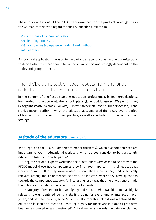These four dimensions of the RFCDC were examined for the practical investigation in the German context with regard to four key questions, related to

- (1) attitudes of trainers, educators
- (2) learning processes,
- (3) approaches (competence models) and methods,
- (4) learners.

For practical application, it was up to the participants conducting the practice reflections to decide what the focus should be in particular, as this was strongly dependant on the topics and group contexts.

# The RFCDC as reflection tool: results from the pilot reflection activities with multipliers/train the trainers:

In the context of a reflection among education professionals in four organisations, four in-depth practice evaluations took place (Jugendbildungswerk Welper, Stiftung Begegnungsstätte Schloss Gollwitz, Gustav Streseman Institut Niedersachsen, Anne Frank Zentrum Berlin) in which the educational teams used the RFCDC over a period of four months to reflect on their practice, as well as include it in their educational settings.

## **Attitude of the educators** (dimension 1)

'With regard to the RFCDC Competence Model (Butterfly), which five competences are important to you in educational work and which do you consider to be particularly relevant to teach your participants?'

 During the national experts workshop the practitioners were asked to select from the RFCDC model those five competences they find most important in their educational work with youth. Also they were invited to concretise aspects they find specifically relevant among the competences selected, or indicate where they have questions towards the competence category. An interesting result was that the practitioners made their choices to similar aspects, which was not intended.

 The category of respect for human dignity and human rights was identified as highly relevant. It was identified being a starting point for every kind of interaction with youth, and between people, since "much results from this", also it was mentioned that education is seen as a mean to "restoring dignity for those whose human rights have been or are denied or are questioned". Critical remarks towards the category claimed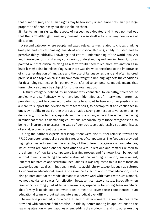that human dignity and human rights may be too softly rinsed, since presumably a large proportion of people may put their claim on them.

Similar to human rights, the aspect of respect was debated and it was pointed out that the term although being very present, is also itself a topic of very controversial discussion.

 A second category where people indicated relevance was related to critical thinking (analysis and critical thinking, analytical and critical thinking, ability to listen and to perceive things critically, knowledge and critical understanding of the world, analysis and thinking in form of sharing, considering, understanding and growing from it). It was pointed out that critical thinking as a term would need much more explanation as in itself it might also be misleading. Also there was drawn connections to the importance of critical evaluation of language and the use of language (as basic and often ignored premises), as a topic which should have more weight, since language sets the conditions for describing realities. Which generally transferred to competence models means that terminology also may be subject for further examination.

 A third category defined as important was connected to empathy, tolerance of ambiguity and self-efficacy, which have been identified as of intertwined nature: as providing support to come with participants to a point to take up other positions, as a mean to support the development of team spirit, to develop trust and confidence in one´s own ability to act. Further there was made a strong connection towards embracing democracy, justice, fairness, equality and the rule of law, while at the same time having in mind that there is a demanding educational responsibility of those categories to also being an instrument to assess the value of democracy and addressing structural issues of social, economic, political power.

 During the national experts' workshop, there were also further remarks toward the RFCDC competence model or specific categories of competences. The feedback provided highlighted aspects such as the interplay of the different categories of competences, which often are conditions for each other. Several questions and remarks related to the dilemma of how far a competence learning process and framework can be applied without directly involving the interrelation of the learning, situation, environment, inherent hierarchies and structural inequalities. It was requested to put more focus on categories such as discrimination, in order to avoid 'blurry categories such as culture'. As working in educational teams is one genuine aspect of non-formal education, it was also pointed out that the model demands: 'When we work with teams with such a model, we need guidance, spaces for reflection, because it can also unsettle. Especially when teamwork is strongly linked to self-awareness, especially for young team members. That is why it needs support. What does it mean to cover these competences in an educational team without getting into a methodical overkill?'

 The remarks presented, show a certain need to better connect the competences frame provided with concrete field practice. Be this by better rooting its applications to the learning situation where it applies or embedding the model with and into other existing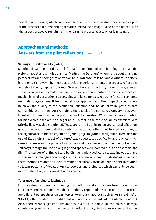models and theories, which could enable a focus of the educators themselves as part of the processes (corresponding remarks: 'critical self-image - also of the teachers', or 'the aspect of always remaining in the learning process as a teacher is missing').

## **Approaches and methods: Answers from the pilot reflections** (dimension 3)

#### **Valuing cultural diversity (value):**

Mentioned were methods and information on intercultural learning, such as the iceberg model and simulations like 'Visiting the Derdians', where it is about changing perspectives and seeing that one's own (cultural) practice is not above others/is better/ is the only right way. The methods provide experience-oriented exercises, reflections and short theory inputs from inter/transcultural and diversity training programmes. These exercises and simulations are of an experimental nature to raise awareness of mechanisms of perception, stereotyping and its complexity reducing function: concrete methods suggested result from the Betzavta approach, and their impact depends very much on the quality of the evaluation reflection and individual value patterns that can collide with others. An example is the exercise 'Abigail Loves Gregory' (Betzavta) to reflect on one's own value priorities and the question: Which values are in motion for me? Which ones are non-negotiable? To tackle the topic of values exercises with priority lists was also mentioned. These are carried out in 'perceived cultural affiliation' groups, i.e., not differentiated according to national culture, but formed according to the significance of identities, such as gender, age, migration background. Here also the use of Kluckholm's 'Model of Cultures' was suggested. Specifically, approaches which raise awareness on the power of narratives and the chance to set them in motion (self -efficacy) through the use of language and speech were pointed out. As an example, the film, The Danger of a Single Story by Chimamanda Ngozi Adichie, was introduced and subsequent exchange about single stories and development of strategies to expand them. Methods related to a field of values specifically focus on 'blind spots' in relation to latent patterns of devaluation, stereotypes and prejudices which can only be set in motion when they are looked at and expressed.

#### **Tolerance of ambiguity (attitude):**

For the category, tolerance of ambiguity, methods and approaches from the anti-bias concept where recommended. These methods experientially open up that that there are different perspectives on vast topics: exemplary methods such as 'As in real life' or 'I-Not I', often related to the different affiliations of the individual (intersectionality). Also, there were suggested 'simulations, such as in particular the classic 'Barnga' simulation game, which is well suited to reflect ambiguity tolerance - understood as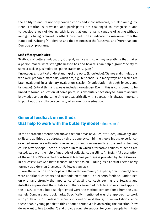the ability to endure not only contradictions and inconsistencies, but also ambiguity. Here, irritation is provoked and participants are challenged to recognise it and to develop a way of dealing with it, so that one remains capable of acting without ambiguity being removed. Feedback provided further indicate the resources from the Handbook 'Achtung (+) Toleranz' and the resources of the 'Betzavta' and 'More than one Democracy' programs.

#### **Self-efficacy (attitude):**

'Methods of cultural education, group dynamics and coaching, everything that makes a person realize what strengths he/she has and how this can help a group/society to solve a task, e.g., simulation "plane crash" or "ZigZag".'

Knowledge and critical understanding of the world (knowledge): 'Games and simulations with well-prepared materials, which are, e.g., tendentious in many ways and which are later evaluated in a plenary evaluation session (manipulation through images and language). Critical thinking always includes knowledge. Even if this is considered to be linked to formal education, at some point, it is absolutely necessary to learn to acquire knowledge and at the same time to deal critically with sources. It is always important to point out the multi-perspectivity of an event or a situation.'

## **General feedback on methods that help to work with the butterfly model** (dimension 3)

In the approaches mentioned above, the four areas of values, attitudes, knowledge and skills and abilities are addressed - this is done by combining theory inputs, experienceoriented exercises with intensive reflection and - increasingly at the end of training courses/workshops - action-oriented units in which alternative courses of action are tested, e.g., with the help of methods of collegial counselling. An insightful description of these BILDUNG-oriented non-formal learning journeys is provided by Katja Greeson in her essay: 'Der Gebildete Mensch: Reflections on 'Bildung' as a Central Theme of My Journey as a German Chancellor Fellow' (Greeson 2020).

 From the reflection workshops with the wider community of experts/practitioners, there were additional concepts and methods mentioned. The experts feedback underlined on one hand strongly the importance of existing concepts such as the Betzavta and Anti-Bias as providing the suitable and theory grounded tools to also work and apply to the RFCDC context, but also highlighted were the method compendiums from the CoE, namely Compass and bookmarks. Specifically mentioned was the approach to work with youth on RFCDC relevant aspects in scenario workshops/future workshops, since these enable young people to think about alternatives in answering the question, 'how do we want to live together?', and provide concrete support for young people to initiate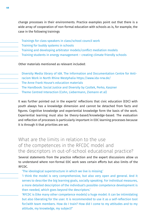change processes in their environments. Practice examples point out that there is a wide array of cooperation of non-formal education with schools as is, for example, the case in the following trainings

- Trainings for class speakers in class/school council work
- Training for buddy systems in schools
- Training and developing arbitrator models/conflict mediation models
- Training students in energy management creating climate friendly schools

Other materials mentioned as relevant included:

- Diversity Media library of IdA. The Information and Documentation Centre for Anti-
- racism Work in North Rhine Westphalia https://www.ida-nrw.de/
- The Anne Frank House's education materials
- The Handbook: Social Justice and Diversity by Czollek, Perko, Kaszner
- Theme Centred Interaction (Cohn, Liebermann, Ziemann et al)

It was further pointed out in the experts' reflections that civic education (EDC) with youth always has a knowledge dimension and cannot be detached from facts and figures. Cognitive knowledge and experiential knowledge form the basis of the work. Experiential learning must also be theory-based/knowledge-based. The evaluation and reflection of processes is particularly important in EDC learning processes because it is through it that priorities are set.

# What are the limits in relation to the use of the competences in the RFCDC model and the descriptors in out-of-school educational practice?

Several statements from the practice reflection and the expert discussions allow us to understand where non-formal EDC work sees certain efforts but also limits of the RFCDC.

- 'The ideological superstructure in which we live is missing.'
- 'I think the model is very comprehensive, but also very open and general. And it serves to describe the big learning goals, socially speaking. For individual measures, a more detailed description of the individual's possible competence development is then needed, which goes beyond the descriptors.'
- 'RFCDC is (like many other competence models) a huge model: it can be intimidating but also liberating for the user. It is recommended to use it as a self-reflection tool for/with team members. How do I train? How did I come to my attitudes and to my attitude, my knowledge, my subject?'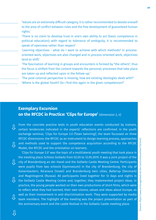'Values are an extremely difficult category, it is rather recommended to devote oneself to the area of conflict between rules and the free development of guaranteed human rights.'

- 'There is no claim to develop trust in one's own ability to act (basic competence in political education); with regard to tolerance of ambiguity, it is recommended to speak of openness rather than respect'
- 'Learning objectives what do I want to achieve with which methods? In processoriented work, objectives are also changed and in process-oriented work, objectives tend to shift.'
- 'The fascination of learning in groups and encounters is formed by "the others", thus the focus is shifted from the content towards the personal; processes that take place are taken up and reflected upon in the follow-up.'
- 'The post-colonial perspective is missing, how are existing ideologies dealt with?' 'Where is the global South? Do I find this again in the given competences?'

## **Exemplary Excursion on the RFCDC in Practice: 'Clips for Europe'** (dimension 2, 4)

From the concrete practice tests in youth education events conducted by trainers, certain tendencies indicated in the experts' reflections are confirmed. In the youth exchange seminar, 'Clips for Europe 2.0 (Town twinning)', the team focussed on three RFCDC dimensions: the RFCDC as an instrument to design learning process, approaches and methods used to support the competence acquisition according to the RFCDC Model, the RFCDC and the orientation on learners. **⇩ ⇩**

 'Clips for Europe 2.0' was the topic of a multilateral youth meeting that took place in the meeting place Schloss Gollwitz from 02.05 to 12.05.2019. It was a joint project of the city of Brandenburg an der Havel and the Gollwitz Castle Meeting Centre. Participants were pupils from two schools (Gymnasium) in the city of Brandenburg, the city of Kaiserslautern, Ra'anana (Israel) and Brandenburg twin cities, Ballerup (Denmark) and Magnitogorsk (Russia). All participants lived together for 12 days and nights in the Gollwitz Castle Meeting Centre and, together, they implemented project ideas. In practice, the young people worked on their own productions of short films, which were to reflect what they had learned, their own visions, values and ideas about Europe, as well as their involvement in anti-discrimination work. They were supported by media team members. The highlight of the meeting was the project presentation as part of the anniversary event and the castle festival in the Gollwitz Castle meeting place. **⇩ ⇩ ⇩**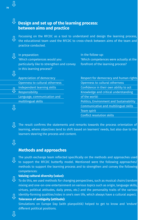## $\overline{\mathcal{P}}$  Design and set up of the learning process: **between aims and practice**

Focussing on the RFCDC as a tool to understand and design the learning process, the educational team used the RFCDC to cross-check between aims of the team and practice conducted. **⇩**

| In preparation:                            | In the follow-up:                               |
|--------------------------------------------|-------------------------------------------------|
| 'Which competences would you               | 'Which competences were actually at the         |
| particularly like to strengthen and convey | forefront of the learning process?              |
| in this learning process?'                 |                                                 |
|                                            |                                                 |
| Appreciation of democracy                  | Respect for democracy and human rights          |
| Openness to cultural otherness             | Openness to cultural otherness                  |
| Independent learning skills                | Confidence in their own ability to act          |
| Responsibility                             | Knowledge and critical understanding            |
| Language, communication and                | of the world:                                   |
| multilingual skills                        | <b>Politics, Environment and Sustainability</b> |
|                                            | Communicative and multilingual skills           |
|                                            | Team spirit                                     |
|                                            | <b>Conflict resolution skills</b>               |
|                                            |                                                 |

The result confirms the statements and remarks towards the process orientation of learning, where objectives tend to shift based on learners' needs, but also due to the learners steering the process and content. **⇩**

# **⇩**

## **Methods and approaches**

The youth exchange team reflected specifically on the methods and approaches used to support the RFCDC butterfly model. Mentioned were the following approaches/ methods to support the learning process and to strengthen and convey the following competences:

## **Valuing cultural diversity (value):**

- To do this, we used methods for changing perspectives, such as musical chairs (random **⇩** mixing and one-on-one entertainment on various topics such as origin, language skills, virtues, political attitudes, daily press, etc.) and the personality traits of the various identity-forming qualities/roles in one's own life, which always have a cultural aspect.
- **Tolerance of ambiguity (attitude): ⇩**
	- Simulations on Europe Day (with planpolitik) helped to get to know and 'endure' different political positions.

**⇩**

**⇩**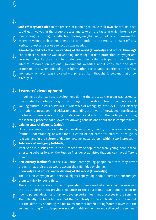# **⇩**

**⇩**

**Self-efficacy (attitude)**: In the process of planning to make their own short films, each could get involved in the group process and take on the tasks in which he/she saw their strengths. During the reflection phases, we [the team] took care to ensure that everyone valued their commitment and contribution to the group. To make efficacy everyone valued their commitment and contribution to the group. To make efficacy visible, honest and serious reflection was needed.

**Knowledge and critical understanding of the world (knowledge and critical thinking):**  The project's subtheme was developing knowledge in data protection, copyright and protection, represented and p<br>personal rights: for the short film production done by the participants, they followed personal rights: for the short film production done by the participants, they followed internet research on national government websites about consumer and data protection, etc. When collecting the information participants experienced this 'aha' U moment, which often was indicated with phrases like, 'I thought I knew…and that's how<br>it really is!' it really is!'

# **Learners' development ⇩**

In looking at the learners' development during the process, the team was asked to investigate the participants group with regard to the descriptors of competences: 1. Valuing cultural diversity (value), 2. Tolerance of ambiguity (attitude), 3. Self-efficacy **⇩** (attitude), 4. Knowledge and critical understanding of the world (knowledge). Specifically, the team of trainers was looking for statements and actions of the participants during the learning process that allowed for drawing conclusions about these competences:

# **Valuing cultural diversity (value):**<br>In an encounter this competer

 In an encounter, this competence can develop very quickly in the areas of eating (mutual understanding of what food is eaten or not eaten for cultural or religious reasons) and in the culture of debate (volume, gestures, etc.) within a work process.

# **Tolerance of ambiguity (attitude): ⇩**

After various discussions in the European workshop, there were young people who, after long debates (e.g., on the Russian President), admitted that one can have different opinions.

Self-efficacy (attitude): In the evaluation, some young people said that they never thought that their group would accept their film idea or similar.

#### **Knowledge and critical understanding of the world (knowledge):**

The unit on copyright and personal rights kept young people busy and encouraged them to think for some time.

There was no concrete information provided when asked whether a comparison with the RFCDC descriptors provided guidance to the educational practitioners' team on

how to pursue, design and further develop certain learning processes in the seminar. The difficulty the team had was not the complexity or the applicability of the model, but the 'difficulty of adding the RFCDC as another info/learning/content layer into the seminar setting. To go deeper was not affordable in the time and setting of the seminar.' **⇩**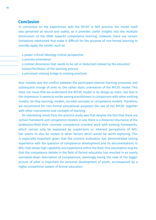### **Conclusion**

In conclusion on the experiences with the RFCDC in NFE practice, the model itself was perceived as sound and useful, as it provides useful insights into the multiple dimensions of the VASK towards competence learning. However, there are certain limitations mentioned that make it difficult for the purpose of non-formal learning to soundly apply the model, such as:

- a power critical/ideology critical perspective
- a process orientation
- a context dimension that needs to be set or deducted instead by the educator/ trainer/facilitator of the learning process
- a perceived missing bridge to existing practices

Also notable was the conflict between the participant-steered learning processes and subsequent change of aims vs. the rather static orientation of the RFCDC model. This does not mean that we understand the RFCDC model in its design as static, but that is the impression it seems to evoke among practitioners in comparison with other existing models, be they learning, models, societal concepts or competence models. Therefore, we recommend for non-formal educational purposes the use of the RFCDC together with other instruments and concepts of learning.

 An interesting result from the practice study was that despite the fact that there are certain framework and competence models in use, there is a distance/reluctance of the profession/field from concrete competence-oriented work with existing frameworks, which cannot only be explained by scepticisms or inherent perceptions of NFE, but seems to also be rooted in other factors which would be worth exploring. This is especially important given that the practice evaluation has demonstrated lasting experience with the question of competence development and its documentations in NFE, that shows high capability and experience within the field. One assumption may be that the competence debate in the field of formal education has resulted in an overly narrowed-down description of competences, seemingly losing the view of the bigger picture of what is important for personal development of youth, accompanied by a highly competitive system of formal education.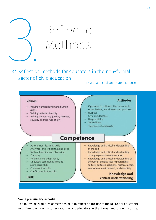

# <u>3.1. Reflection methods for educators in the non-formal</u> sector of civic education

#### By Ole Jantschek and Hanna Lorenzen



#### **Some preliminary remarks**

The following examples of methods help to reflect on the use of the RFCDC for educators in different working settings (youth work, educators in the formal and the non-formal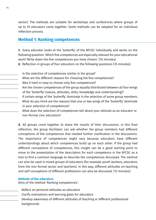sector). The methods are suitable for workshops and conferences where groups of up to 25 educators come together. Some methods can be adapted for an individual reflection process.

### **Method 1: Ranking competences**

**1.** Every educator looks at the 'butterfly' of the RFCDC individually and works on the following question: 'Which five competences are especially relevant for your educational work? Write down the five competences you have chosen.' (10 minutes)

- **2.** Reflection in groups of four educators on the following questions (35 minutes):
- Is the selection of competences similar in the group?
- What are the different reasons for choosing the five competences?
- Was it hard or easy to choose only five competences?
- Are the chosen competences of the group equally distributed between all four wings of the 'butterfly' (values, attitudes, skills, knowledge and understanding)?
- If certain wings of the 'butterfly' dominate in the selection of some group members: What do you think are the reasons that one or two wings of the 'butterfly' dominate in your selection of competences?
- What does the selection of competences tell about your attitude as an educator or non-formal civic education?

**3.** All groups come together to share the results of their discussions. In this final reflection, the group facilitator can ask whether the group members had different conceptions of the competences that needed further clarification in the discussions. The importance of competences might vary because educators have different understandings about which competences build up on each other. If the group had different conceptions of competences, this insight can be a good starting point to move to the presentation of the descriptors for each competence in the RFCDC as a tool to find a common language to describe the competences discussed. The method can also be used in mixed groups of educators (for example youth workers, educators from the non-formal sector and teachers). In this way, different attitudes on teaching and self-conceptions of different professions can also be discussed. (15 minutes)

#### **Attitude of the educators**

Aims of the method 'Ranking competences':

- Reflect on personal attitudes as educators
- Clarify motivations and learning goals for educators
- Develop awareness of different attitudes of teaching or different professional backgrounds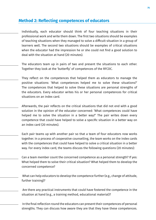### **Method 2: Reflecting competences of educators**

- Individually, each educator should think of four teaching situations in their professional work and write them down. The first two situations should be examples of teaching situations when they managed to solve a difficult situation in a group of learners well. The second two situations should be examples of critical situations when the educator had the impression he or she could not find a good solution to deal with the situation at hand (20 minutes).
- The educators team up in pairs of two and present the situations to each other. Together they look at the 'butterfly' of competences of the RFCDC.
- They reflect on the competences that helped them as educators to manage the positive situations: 'What competences helped me to solve these situations?' The competences that helped to solve these situations are personal strengths of the educators. Every educator writes his or her personal competences for critical situations on an index card.
	- Afterwards, the pair reflects on the critical situations that did not end with a good solution in the opinion of the educator concerned: 'What competences could have helped me to solve the situation in a better way?' The pair writes down every competence that could have helped to solve a specific situation in a better way on an index card (20 minutes).
	- Each pair teams up with another pair so that a team of four educators now works together. In a process of cooperative counselling, the team works on the index cards with the competences that could have helped to solve a critical situation in a better way. For every index card, the teams discuss the following questions (20 minutes):
	- Can a team member count the concerned competence as a personal strength? If yes: What helped them to solve their critical situation? What helped them to develop the concerned competence?
	- What can help educators to develop the competence further (e.g., change of attitude, further training)?
	- Are there any practical instruments that could have fostered the competence in the situation at hand (e.g., a training method, educational material)?
	- In the final reflection round the educators can present their competences of personal strengths. They can discuss how aware they are that they have these competences.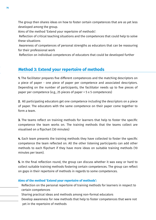The group then shares ideas on how to foster certain competences that are as yet less developed among the group.

Aims of the method 'Extend your repertoire of methods':

 Reflection of critical teaching situations and the competences that could help to solve these situations

 Awareness of competences of personal strengths as educators that can be reassuring for their professional work

Reflection on individual competences of educators that could be developed further

### **Method 3: Extend your repertoire of methods**

**1.** The facilitator prepares five different competences and the matching descriptors on a piece of paper - one piece of paper per competence and associated descriptors. Depending on the number of participants, the facilitator needs up to five pieces of paper per competence (e.g., 25 pieces of paper = 5 x 5 competences)

**2.** All participating educators get one competence including the descriptors on a piece of paper. The educators with the same competence on their paper come together to form a team.

**3.** The teams reflect on training methods for learners that help to foster the specific competence the team works on. The training methods that the teams collect are visualised on a flipchart (30 minutes)

**4.** Each team presents the training methods they have collected to foster the specific competence the team reflected on. All the other listening participants can add other methods to each flipchart if they have more ideas on suitable training methods (10 minutes per team).

**5.** In the final reflection round, the group can discuss whether it was easy or hard to collect suitable training methods fostering certain competences. The group can reflect on gaps in their repertoire of methods in regards to some competences.

#### **Aims of the method 'Extend your repertoire of methods':**

- Reflection on the personal repertoire of training methods for learners in respect to certain competences
- Sharing practical ideas and methods among non-formal educators
- Develop awareness for new methods that help to foster competences that were not yet in the repertoire of methods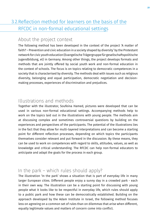# 3.2. Reflection method for learners on the basis of the RFCDC in non-formal educational settings

# About the project context

The following method has been developed in the context of the project 'A matter of faith? – Prevention and civic education in a society shaped by diversity' by the Protestant network for civic youth education (Evangelische Trägergruppe für gesellschaftspolitische Jugendbildung, et) in Germany. Among other things, the project develops formats and methods that are jointly offered by social youth work and non-formal education in the context of schools. The focus is on topics relating to democratic competences in a society that is characterised by diversity. The methods deal with issues such as religious diversity, belonging and equal participation, democratic negotiation and decisionmaking processes, experiences of discrimination and prejudices.

# Illustrations and methods

Together with the illustrator, Soufeina Hamed, pictures were developed that can be used in various non-formal educational settings. Accompanying methods help to work on the topics laid out in the illustrations with young people. The methods aim at discussing complex and sometimes controversial questions by building on the experiences and perspectives of the participants. The potential of the illustrations lies in the fact that they allow for multi-layered interpretations and can become a starting point for different reflection processes, depending on which topics the participants themselves consider relevant and put forward in the discussion. By these means, they can be used to work on competences with regard to skills, attitudes, values, as well as knowledge and critical understanding. The RFCDC can help non-formal educators to anticipate and adapt the goals for the process in each group.

# In the park – which rules should apply?

The illustration 'In the park' shows a situation that is part of everyday life in many larger European cities. Different people enjoy a sunny day in a crowded park - each in their own way. The illustration can be a starting point for discussing with young people what it looks like to be respectful in everyday life, which rules should apply to a public park and how these can be democratically established. Building on the approach developed by the Adam Institute in Israel, the following method focuses less on agreeing on a common set of rules than on dilemmas that arise when different, equally legitimate values and matters of concern come into conflict.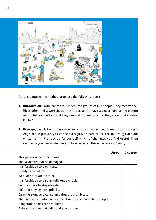

For this purpose, the method proposes the following steps:

- **Introduction:** Participants are divided into groups of five people. They receive the **1.** illustration and a worksheet. They are asked to have a closer look at the picture and to tell each other what they see and find remarkable. They should take notes. (10 min.)
- **Exercise, part 1:** Each group receives a second worksheet. It reads: 'On the right **2**. edge of the picture, you can see a sign with park rules. The following rules are written on it. First decide for yourself which of the rules you find useful. Then discuss in your team whether you have selected the same rules. (10 min.)

|                                                                   | <b>Agree</b> | <b>Disagree</b> |
|-------------------------------------------------------------------|--------------|-----------------|
| This park is only for residents.                                  |              |                 |
| The lawn must not be damaged.                                     |              |                 |
| It is forbidden to pitch tents.                                   |              |                 |
| Nudity is forbidden.                                              |              |                 |
| Wear appropriate clothing.                                        |              |                 |
| It is forbidden to display religious symbols.                     |              |                 |
| Vehicles have to stay outside.                                    |              |                 |
| Children playing have priority.                                   |              |                 |
| Carrying along and consuming drugs is prohibited.                 |              |                 |
| The number of participants at celebrations is limited to  people. |              |                 |
| Dangerous sports are prohibited.                                  |              |                 |
| Behave in a way that will not disturb others.                     |              |                 |
|                                                                   |              |                 |
|                                                                   |              |                 |

 $\overline{a}$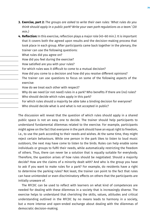- **Exercise, part 2:** *The groups are asked to write their own rules: 'What rules do you*  **3.** *think should apply in a public park? Write your own park regulations as a team.' (20 min.)*
- **Reflection:** In this exercise, reflection plays a major role (45–60 min.). It is important **4.** that it covers both the agreed upon results and the decision-making process that took place in each group. After participants came back together in the plenary, the trainer can use the following questions:
- What rules did you agree on?
- How did you feel during the exercise?
- How satisfied are you with your rules?
- For which rules was it difficult to come to a mutual decision?
- How did you come to a decision and how did you resolve different opinions?
- The trainer can use questions to focus on some of the following aspects of the exercise:
- How do we treat each other with respect?
- Why do we need (or not need) rules in a park? Who benefits if there are (no) rules?
- Who should decide which rules apply in this park?
- For which rules should a majority be able take a binding decision for everyone?
- Who should decide what is and what is not accepted in public?

The discussion will reveal that the question of which rules should apply in a shared public space is not an easy one to decide. The trainer should help participants to understand fundamental dilemmas related to the exercise. For example, participants might agree on the fact that everyone in the park should have an equal right to freedom, i.e., to use the park according to their needs and wishes. At the same time, they might reject certain behaviours. While one person in the park likes to listen to loud music outdoors, the next may have come to listen to the birds. Rules can help enable some individuals or groups to fulfil their needs, while automatically restricting the freedom of others. Thus, there can never be a solution that is equally suitable for everybody. Therefore, the question arises of how rules should be negotiated. Should a majority decide? How are the claims of a minority dealt with? And who is the group you have to ask if you want to make rules for a park? For example, do residents have a right to determine the parking rules? Not least, the trainer can point to the fact that rules can have unintended or even discriminatory effects on others that the participants are initially unaware of.

 The RFCDC can be used to reflect with learners on what kind of competences are needed for dealing with these dilemmas in a society that is increasingly diverse. The exercise helps to understand that cherishing the skills, values, attitudes and critical understanding outlined in the RFCDC by no means leads to harmony in a society, but a more intense and open-ended exchange about dealing with the dilemmas of democratic decision-making.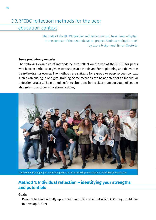# 3.3.RFCDC reflection methods for the peer education context

Methods of the RFCDC teacher self-reflection tool have been adapted to the context of the peer education project 'Understanding Europe' by Laura Meijer and Simon Oesterle

#### **Some preliminary remarks**

The following examples of methods help to reflect on the use of the RFCDC for peers who have experience in giving workshops at schools and/or in planning and delivering train-the-trainer events. The methods are suitable for a group or peer-to-peer context such as an analogue or digital training. Some methods can be adapted for an individual reflection process. The methods refer to situations in the classroom but could of course also refer to another educational setting.



'Understanding Europe', peer education project of the Schwarzkopf Foundation © Schwarzkopf Foundation

## **Method 1: Individual reflection – identifying your strengths and potentials**

#### **Goals:**

Peers reflect individually upon their own CDC and about which CDC they would like to develop further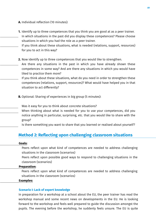**A.** Individual reflection (10 minutes):

- **1.** Identify up to three competences that you think you are good at as a peer trainer. In which situations in the past did you display these competences? Please choose situations in which you had the role as a peer trainer.
- If you think about these situations, what is needed (relations, support, resources) for you to act in this way?
- **2.** Now identify up to three competences that you would like to strengthen.
- Are there any situations in the past in which you have already shown these competences in some way? And are there any situations in which you would have liked to practice them more?
- If you think about these situations, what do you need in order to strengthen these competences (relations, support, resources)? What would have helped you in that situation to act differently?
- **B.** Optional: Sharing of experiences in big group (5 minutes):
	- Was it easy for you to think about concrete situations?
- When thinking about what is needed for you to use your competences, did you notice anything in particular, surprising, etc. that you would like to share with the group?
- Is there something you want to share that you learned or realised about yourself?

### **Method 2: Reflecting upon challenging classroom situations**

#### **Goals:**

Peers reflect upon what kind of competences are needed to address challenging situations in the classroom (scenarios)

Peers reflect upon possible good ways to respond to challenging situations in the classroom (scenarios)

#### **Preparation:**

Peers reflect upon what kind of competences are needed to address challenging situations in the classroom (scenarios)

#### **Examples:**

#### **Scenario I: Lack of expert knowledge**

In preparation for a workshop at a school about the EU, the peer trainer has read the workshop manual and some recent news on developments in the EU. He is looking forward to the workshop and feels well prepared to guide the discussion amongst the pupils. The evening before the workshop, he suddenly feels unsure. The EU is quite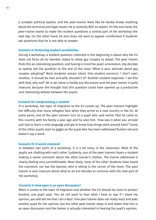a complex political system, and the peer-trainer feels like he hardly knows anything about the technical and legal issues. He is certainly NOT an expert. On the one hand, the peer-trainer wants to make the student questions a central part of the workshop the next day. On the other hand, he also does not want to appear uninformed if students ask questions that he is not able to answer.

#### **Scenario II: Protecting student sensitivities**

During a workshop, a student question collected in the beginning is about why the EU does not force all its member states to allow gay couples to adopt. The peer trainer finds this an interesting question, and having in mind the pupil-orientation, she decides to openly ask the question to the rest of the class: 'What is your attitude about gay couples adopting?' Most students remain silent. One student murmurs 'I don't care', another, 'it should be man and wife, shouldn't it?' Another student responds: 'I am fine with that, why not?' All in all, there is hardly any discussion and the peer trainer is quite insecure, because she thought that this question could have opened up a productive and interesting debate between the pupils.

#### **Scenario III: Compromising a student**

In a workshop, the topic of migration to the EU comes up. The peer-trainers highlight the difficulty that many refugees face when they arrive to a new country in the EU. At some point, one of the peer trainers turn to a pupil who said earlier that he came to this country with his family a year ago and he asks him: 'How was it when you arrived and had to learn a new language and get to know how things work around here?' Some of the other pupils start to giggle as the pupil who has been addressed flushes red and doesn't say a word.

#### **Scenario IV: A sexist comment**

In between two parts of a workshop, it is a bit noisy in the classroom. Most of the pupils are chatting with each other. Suddenly, one of the peer trainers hears a student making a sexist comment about the other trainer's clothes. The trainer addressed is clearly feeling very uncomfortable. Most likely, none of the other students have heard the comment, nor has the teacher, who is sitting in the corner of the room. The peer trainer is very insecure about what to do but decides to continue with the next part of the workshop.

#### **Scenario V: How open is an open discussion?**

When it comes to the topic of migration and whether the EU should do more to protect borders, one pupil says: 'You do not want to hear what I have to say! If I share my opinion, you will tell me that I am a Nazi.' One peer trainer does not really react and asks another pupil for her opinion, but the other peer trainer steps in and states that this is an open discussion and the trainer is actually interested in hearing the pupil's opinion.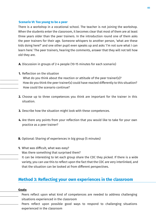#### **Scenario VI: Too young to be a peer**

There is a workshop in a vocational school. The teacher is not joining the workshop. When the students enter the classroom, it becomes clear that most of them are at least three years older than the peer trainers. In the introduction round one of them asks the peer trainers for their age. Someone whispers to another person, 'what are these kids doing here?' and one other pupil even speaks up and asks 'I'm not sure what I can learn here.' The peer trainers, hearing the comments, answer that they will not tell how old they are.

- **A.** Discussion in groups of 2-4 people (10-15 minutes for each scenario)
- **1.** Reflection on the situation
	- What do you think about the reaction or attitude of the peer trainer(s)? How do you think the peer trainer(s) could have reacted differently to this situation? How could the scenario continue?
- **2.** Choose up to three competences you think are important for the trainer in this situation.
- **3.** Describe how the situation might look with these competences.
- Are there any points from your reflection that you would like to take for your own **4.**  practice as a peer trainer?
- **B.** Optional: Sharing of experiences in big group (5 minutes)
- What was difficult, what was easy? **1.**
	- Was there something that surprised them?
	- It can be interesting to let each group share the CDC they picked. If there is a wide variety, you can use this to reflect upon the fact that the CDC are very interlinked, and that the situation can be looked at from different perspectives.

### **Method 3: Reflecting your own experiences in the classroom**

#### **Goals:**

- Peers reflect upon what kind of competences are needed to address challenging situations experienced in the classroom
- Peers reflect upon possible good ways to respond to challenging situations experienced in the classroom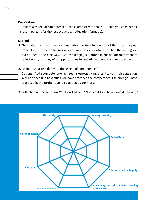#### **Preparation:**

 Prepare a 'wheel of competences' (see example) with those CDC that you consider as most important for the respective peer education format(s).

#### **Method:**

- Think about a specific educational situation (in which you had the role of a peer **1.** trainer) which was challenging in some way for you or where you had the feeling you did not act in the best way. Such challenging situations might be uncomfortable to reflect upon, but they offer opportunities for self-development and improvement.
- Evaluate your reaction with the 'wheel of competences'. **2.**
- Optional: Add a competence which seems especially important to you in this situation. Mark on each line how much you have practiced the competence. The more you have practiced it, the further outside you place your mark.
- **3.** Reflection on the situation: What worked well? What could you have done differently?

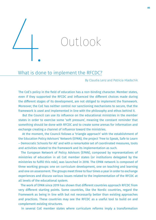

# What is done to implement the RFCDC?

By Claudia Lenz and Patricia Hladschik

The CoE's policy in the field of education has a non-binding character. Member states, even if they supported the RFCDC and influenced the different choices made during the different stages of its development, are not obliged to implement the framework. Moreover, the CoE has neither control nor sanctioning mechanisms to secure, that the framework is used and implemented in line with the philosophy and ethos behind it.

 But the Council can use its influence on the educational ministries in the member states in order to exercise some 'soft pressure', meaning the constant reminder that something should be done with RFCDC and to create some arenas for information and exchange creating a channel of influence toward the ministries.

 At the moment, the Council follows a 'triangle approach' with the establishment of the Education Policy Advisors' Network (EPAN), the project 'Free to Speak, Safe to Learn – Democratic Schools for All' and with a remarkable set of coordinated measures, tools and activities related to the framework and its implementation as such.

 The European Network of Policy Advisors (EPAN), composed by representatives of ministries of education in all CoE member states (or institutions delegated by the ministries to fulfill this role), was launched in 2018. The EPAN network is composed of three working groups: one on curriculum development, one on teaching and learning and one on assessment. The groups meet three to four times a year in order to exchange experiences and discuss various issues related to the implementation of the RFCDC at all levels of the educational system.

 The work of EPAN since 2019 has shown that different countries approach RFCDC from very different starting points. Some countries, like the Nordic countries, regard the Framework as being in line with but not necessarily better than existing approaches and practices. These countries may see the RFCDC as a useful tool to build on and complement existing structures.

In several CoE member states where curriculum reforms imply a transformation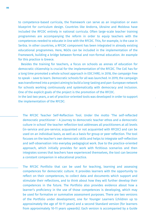to competence-based curricula, the framework can serve as an inspiration or even blueprint for curriculum design. Countries like Andorra, Ukraine and Moldova have included the RFCDC entirely in national curricula. Often large-scale teacher training programmes are accompanying the reform in order to equip teachers with the competences needed to educate in line with the RFCDC. This, for example, is the case in Serbia. In other countries, a RFCDC component has been integrated in already existing educational programmes. Here, NGOs can be included in the implementation of the Framework, building a bridge between formal and non-formal education. An example for this practice is Greece.

 Besides the training for teachers, a focus on schools as arenas of education for democratic citizenship is crucial for the implementation of the RFCDC. The CoE has for a long time promoted a whole school approach in EDC/HRE; in 2018, the campaign Free to speak – save to learn. Democratic schools for all was launched. In 2019, the campaign was transformed into a project aiming to build a long-lasting and pan-European network for schools working continuously and systematically with democracy and inclusion. One of the explicit goals of the project is the promotion of the RFCDC.

In the last two years, a set of practice-oriented tools was developed in order to support the implementation of the RFCDC:

The RFCDC Teacher Self-Reflection Tool. Under the motto 'The self-reflected democratic practitioner – A journey to democratic teacher ethos and a democratic culture in school' the teacher reflection tool addresses all practitioners at all levels (in-service and pre-service; acquainted or not acquainted with RFCDC) and can be used on an individual basis, as well as a basis for group or peer reflection. The tool focuses on the teacher's own democratic skills and helps to integrate self-reflection and self-observation into everyday pedagogical work. Due to the practice-oriented approach, which initially provides for work with fictitious scenarios and then integrates scenes that teachers have experienced themselves, the tool can become a constant companion in educational practice.

The RFCDC Portfolio that can be used for teaching, learning and assessing competences for democratic culture. It provides learners with the opportunity to reflect on their competences, to collect data and documents which support and stimulate their reflections, and to think about how they will further develop their competences in the future. The Portfolio also provides evidence about how a learner's proficiency in the use of those competences is developing, which may be used for formative or summative assessment purposes. There are two versions of the Portfolio under development, one for Younger Learners (children up to approximately the age of 10-11 years) and a second Standard version (for learners from approximately 10-11 years upwards). Each version is accompanied by a Guide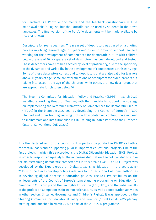for Teachers. All Portfolio documents and the feedback questionnaire will be made available in English, but the Portfolio can be used by students in their own languages. The final version of the Portfolio documents will be made available by the end of 2020.

- Descriptors for Young Learners: The main set of descriptors was based on a piloting process involving learners aged 10 years and older. In order to support teachers working for the development of competences for democratic culture with children below the age of 10, a separate set of descriptors has been developed and tested. These descriptors have not been scaled by level of proficiency, due to the specificity of the dynamics and variability in the development of competences at this early age. Some of these descriptors correspond to descriptors that are also valid for learners above 10 years of age, some are reformulations of descriptors for older learners but taking into account the age of the children, while others are new descriptors that are appropriate for children below 10.
- The Steering Committee for Education Policy and Practice (CDPPE) in March 2020 installed a Working Group on Training with the mandate to support the strategy on implementing the Reference Framework of Competences for Democratic Culture (RFCDC) in the biennium 2020-2021 by developing 'the Council of Europe's RFCDC blended and other training learning tools, with modularised content, the aim being to mainstream and institutionalise RFCDC Training in States Parties to the European Cultural Convention'. (CoE, 2020c)

It is the declared aim of the Council of Europe to incorporate the RFCDC as both a conceptual basis and a supporting pillar in important educational projects. One of the first projects in which this succeeded is the Digital Citizenship Education (DCE) Project. In order to respond adequately to the increasing digitization, the CoE decided to strive for mainstreaming democratic competences in this area as well. The DCE Project was developed by the Expert group on Digital Citizenship Education in the years 2016- 2018 with the aim to develop policy guidelines to further support national authorities in developing digital citizenship education policies. The DCE Project builds on the achievements of the Council of Europe's long standing programme on Education for Democratic Citizenship and Human Rights Education (EDC/HRE), and the initial results of the project on Competences for Democratic Culture, as well as cooperation activities in other sectors (Internet Governance and Children's Rights). It was approved by the Steering Committee for Educational Policy and Practice (CDPPE) at its 2015 plenary meeting and launched in March 2016 as part of the 2016-2017 programme.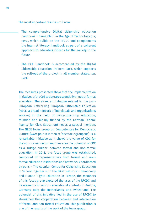The most important results until now:

- The comprehensive Digital citizenship education handbook - Being Child in the Age of Technology (COE, 2020a), which builds on the RFCDC and complements the Internet literacy handbook as part of a coherent approach to educating citizens for the society in the future.
- The DCE Handbook is accompanied by the Digital Citizenship Education Trainers Pack, which supports the roll-out of the project in all member states. (COE, 2020b)

The measures presented show that the implementation initiatives of the CoE to date are essentially aimed at formal education. Therefore, an initiative related to the pan-European Networking European Citizenship Education (NECE, a broad network of individuals and organizations working in the field of civic/citizenship education, founded and mainly funded by the German Federal Agency for Civic Education) needs a special mention. The NECE focus group on Competences for Democratic Culture (www.politik-lernen.at/necefocusgroupcdc) is a remarkable initiative as it shows the value of CDC for the non-formal sector and thus also the potential of CDC as a 'bridge builder' between formal and non-formal education. In 2018, the focus group was established, composed of representatives from formal and nonformal education institutions and networks. Coordinated by polis – The Austrian Centre for Citizenship Education in School together with the DARE network – Democracy and Human Rights Education in Europe, the members of this focus group explored the uses of the RFCDC and its elements in various educational contexts in Austria, Germany, Italy, the Netherlands, and Switzerland. The potential of this initiative lied in the use of RFCDC to strengthen the cooperation between and intersection of formal and non-formal education. This publication is one of the results of the work of the focus group.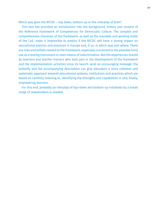Which way goes the RFCDC – top down, bottom up or the interplay of both?

 This text has provided an introduction into the background, history and content of the Reference Framework of Competences for Democratic Culture. The complex and comprehensive character of the framework, as well as the mandate and working mode of the CoE, make it impossible to predict if the RFCDC will have a strong impact on educational policies and practices in Europe and, if so, in which way and where. There are risks and pitfalls related to the framework, especially connected to the possible (mis) use as a testing instrument or even means of indoctrination. But the experiences shared by teachers and teacher trainers who took part in the development of the framework and the implementation activities since its launch send an encouraging message: the butterfly and the accompanying descriptors can give educators a more coherent and systematic approach towards educational systems, institutions and practices which are based on carefully listening to, identifying the strengths and capabilities in and, finally, empowering learners.

 For this end, probably an interplay of top-down and bottom-up initiatives by a broad range of stakeholders is needed.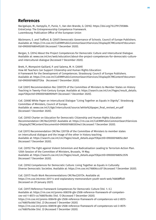### **References**

Bacigalupo, M., Kampylis, P., Punie, Y., Van den Brande, G. (2016). https://doi.org/10.2791/593884 EntreComp: The Entrepreneurship Competence Framework. Luxembourg: Publication Office of the European Union

Bäckmann, E. and Trafford, B. (2007) Democratic Governance of Schools. Council of Europe Publishers. Available at: https://rm.coe.int/CoERMPublicCommonSearchServices/DisplayDCTMContent?documentId=09000016804952d0 (Accessed 7 December 2020).

Bergan, S. (2014) About the Project Competences for Democratic Culture and Intercultural Dialogue. Available at: www.coe.int/en/web/education/about-the-project-competences-for-democratic-cultureand-intercultural-dialogue (Accessed 7 December 2020).

Brett, P., Mompoint-Gaillard, P. and Salema, M. H. (2009) How All Teachers Can Support Citizenship and Human Rights Education: A Framework for the Development of Competences. Strasbourg: Council of Europe Publishers. Available at: https://rm.coe.int/CoERMPublicCommonSearchServices/DisplayDCTMContent?documentId=09000016802f726a (Accessed 7 December 2020).

CoE (2001) Recommendation Rec (2001)15 of the Committee of Ministers to Member States on History Teaching in Twenty-First-Century Europe. Available at: https://search.coe.int/cm/Pages/result\_details. aspx?ObjectId=0900001680909e91 (Accessed 7 December 2020).

CoE. (2008) White Paper on Intercultural Dialogue "Living Together as Equals in Dignity". Strasbourg: Committee of Ministers, Council of Europe. Available at: www.coe.int/t/dg4/intercultural/source/white%20paper\_final\_revised\_en.pdf (Accessed 7 December 2020).

CoE. (2010) Charter on Education for Democratic Citizenship and Human Rights Education Recommendation CM/Rec(2010)7. Available at: https://rm.coe.int/CoERMPublicCommonSearchServices /DisplayDCTMContent?documentId=09000016803034e3 (Accessed 7 December 2020).

CoE (2011) Recommendation CM/Rec (2011)6 of the Committee of Ministers to member states on intercultural dialogue and the image of the other in history teaching. Available at: https://search.coe.int/cm/Pages/result\_details.aspx?ObjectID=09000016805cc8e1 (Accessed 7 December 2020).

CoE. (2015) The Fight against Violent Extremism and Radicalisation Leading to Terrorism-Action Plan. 125th Session of the Committee of Ministers, Brussels, 19 May. Available at: https://search.coe.int/cm/Pages/result\_details.aspx?ObjectID=09000016805c3576 (Accessed 7 December 2020).

CoE. (2016) Competences for Democratic Culture: Living Together as Equals in Culturally Diverse Democratic Societies. Available at: https://rm.coe.int/16806ccc07 (Accessed 7 December 2020).

CoE. (2017) Youth Work Recommendations CM/Rec(2017)4. Available at: https://rm.coe.intcmrec-2017-4-and-explanatory-memorandum-youth-work-web/16808ff0d1 (Accessed on 29 January 2021).

CoE. (2017) Reference Framework Competences for Democratic Culture (Vol. 1.–3.). Available at: https://rm.coe.int/prems-008318-gbr-2508-reference-framework-of-competences-vol-1-8573-co/16807bc66c (Vol. 1) (Accessed 7 December 2020).

https://rm.coe.int/prems-008418-gbr-2508-reference-framework-of-competences-vol-2-8573 co/16807bc66d (Vol. 2) (Accessed 7 December 2020).

https://rm.coe.int/prems-008518-gbr-2508-reference-framework-of-competences-vol-3-8575 co/16807bc66e (Vol. 3) (Accessed 7 December 2020).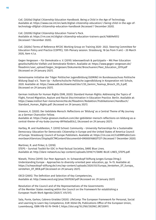CoE. (2020a) Digital Citizenship Education Handbook. Being a Child in the Age of Technology. Available at: https://www.coe.int/en/web/digital-citizenship-education/-/being-child-in-the-age-oftechnology-difgital-cititzenship-education-handbook (Accessed 7 December 2020).

CoE. (2020b) Digital Citizenship Education Trainer's Pack. Available at: https://rm.coe.int/digital-citizenship-education-trainers-pack/16809efd12 (Accessed 7 December 2020).

CoE. (2020c) Terms of Reference RFCDC Working Group on Training 2020- 2022. Steering Committee for Education Policy and Practice (CDPPE), 13th Plenary session. Strasbourg, 18 (as from 9 am) – 20 March 2020, Item 4.1.a.

Gegen Vergessen – Für Demokratie e. V. (2019): lebensweltnah & partizipativ – Mit Peer Education gesellschaftliche Vielfalt und Demokratie fördern. Available at: https://www.gegen-vergessen.de/ fileadmin/user\_upload/Gegen\_Vergessen/Dokumente/Broschueren/Peer\_Education\_2019.pdf (Accessed on 29 January 2021).

Gemeinsame Initiative der Träger Politischer Jugendbildung (GEMINI) im Bundesausschuss Politische Bildung (bap) e.V.. Team Up – Außerschulische Politische Jugendbildung in Kooperation mit Schule, 2020. Available at: https://www.adb.de/download/doc1/20\_Gemini\_Teamup\_Brosch\_DS\_0.pdf, (Accessed on 29 January 2021).

German Institute for Human Rights (DIM, 2020): Standard Human Rights: Addressing the Topics of Flight, Forced Migration, Asylum and Racist Discrimination in Education Practice. Berlin. Available at: https://www.institut-fuer-menschenrechte.de/fileadmin/Redaktion/Publikationen/Handbuch/ Standard Human Rights.pdf. (Accessed on 29 January 2021).

Greeson, K. (2020). Der Gebildete Mensch: Reflections on 'Bildung' as a Central Theme of My Journey as a German Chancellor Fellow.

Available at: https://katja-greeson.medium.com/der-gebildeter-mensch-reflections-on-bildung-as-acentral-theme-of-my-buka-journey-8919a5ad03c2, (Accessed on 29 January 2021).

Hartley, M. and Huddleston, T. (2010) School: Community – University Partnerships for a Sustainable Democracy: Education for Democratic Citizenship in Europe and the United States of America Council of Europe. Strasbourg: Council of Europe Publishers. Available at: https://rm.coe.int/CoERMPublicCommonSearchServices/DisplayDCTMContent?documentId=09000016802f7271 (Accessed 7 December 2020).

Martinez, R. and Pirker, G. (2018).

STEPS – Survival Toolkit for EDC in Post-factual Societies, DARE Blue Lines. Available at: http://dare-network.eu/wp-content/uploads/2018/11/DARE-BLUE-LINES\_STEPS.pdf.

Nieselt, Thimo (2019): Our Peer Approach. In: Schwarzkopf-Stiftung Junges Europa (Hrsg.): Understanding Europe - Approaches to diversity-oriented peer education, pp. 14-15. Available at: https://schwarzkopf-stiftung.de/cms/wp-content/uploads/2020/03/Europa\_Verstehen\_DT\_Europa\_ verstehen DT WEB.pdf (Accessed on 29 January 2021).

OECD (2005). The Definition and Selection of Key Competencies, Available at: http://www.oecd.org/pisa/35070367.pdf (Accessed on: 29 January 2021)

Resolution of the Council and of the Representatives of the Governments of the Member States meeting within the Council on the Framework for establishing a European Youth Work Agenda (2020/C 415/01).

Sala, Punie, Garkov, Cabrera Giraldez (2020). LifeComp: The European Framework for Personal, Social and Learning to Learn Key Competence, EUR 30246 EN, Publications Office of the European Union, Luxembourg, ISBN 978-92-76-19418-7, https://doi.org/10.2760/302967, JRC120911.